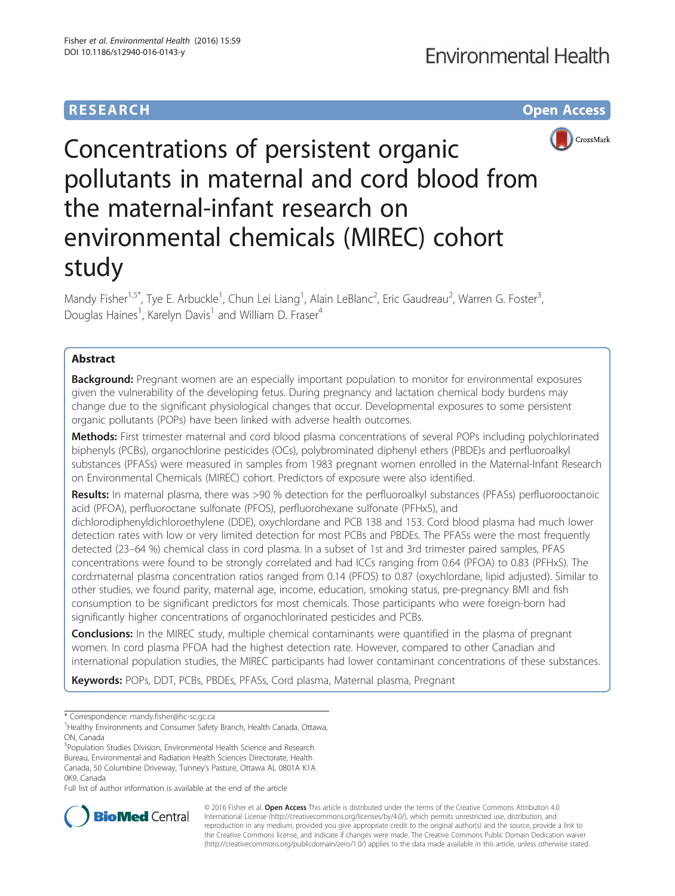## **RESEARCH CHE Open Access**



# Concentrations of persistent organic pollutants in maternal and cord blood from the maternal-infant research on environmental chemicals (MIREC) cohort study

Mandy Fisher<sup>1,5\*</sup>, Tye E. Arbuckle<sup>1</sup>, Chun Lei Liang<sup>1</sup>, Alain LeBlanc<sup>2</sup>, Eric Gaudreau<sup>2</sup>, Warren G. Foster<sup>3</sup> , Douglas Haines<sup>1</sup>, Karelyn Davis<sup>1</sup> and William D. Fraser<sup>4</sup>

## Abstract

**Background:** Pregnant women are an especially important population to monitor for environmental exposures given the vulnerability of the developing fetus. During pregnancy and lactation chemical body burdens may change due to the significant physiological changes that occur. Developmental exposures to some persistent organic pollutants (POPs) have been linked with adverse health outcomes.

Methods: First trimester maternal and cord blood plasma concentrations of several POPs including polychlorinated biphenyls (PCBs), organochlorine pesticides (OCs), polybrominated diphenyl ethers (PBDE)s and perfluoroalkyl substances (PFASs) were measured in samples from 1983 pregnant women enrolled in the Maternal-Infant Research on Environmental Chemicals (MIREC) cohort. Predictors of exposure were also identified.

Results: In maternal plasma, there was >90 % detection for the perfluoroalkyl substances (PFASs) perfluorooctanoic acid (PFOA), perfluoroctane sulfonate (PFOS), perfluorohexane sulfonate (PFHxS), and dichlorodiphenyldichloroethylene (DDE), oxychlordane and PCB 138 and 153. Cord blood plasma had much lower detection rates with low or very limited detection for most PCBs and PBDEs. The PFASs were the most frequently detected (23–64 %) chemical class in cord plasma. In a subset of 1st and 3rd trimester paired samples, PFAS concentrations were found to be strongly correlated and had ICCs ranging from 0.64 (PFOA) to 0.83 (PFHxS). The cord:maternal plasma concentration ratios ranged from 0.14 (PFOS) to 0.87 (oxychlordane, lipid adjusted). Similar to other studies, we found parity, maternal age, income, education, smoking status, pre-pregnancy BMI and fish consumption to be significant predictors for most chemicals. Those participants who were foreign-born had significantly higher concentrations of organochlorinated pesticides and PCBs.

**Conclusions:** In the MIREC study, multiple chemical contaminants were quantified in the plasma of pregnant women. In cord plasma PFOA had the highest detection rate. However, compared to other Canadian and international population studies, the MIREC participants had lower contaminant concentrations of these substances.

Keywords: POPs, DDT, PCBs, PBDEs, PFASs, Cord plasma, Maternal plasma, Pregnant

\* Correspondence: [mandy.fisher@hc-sc.gc.ca](mailto:mandy.fisher@hc-sc.gc.ca) <sup>1</sup>

5 Population Studies Division, Environmental Health Science and Research Bureau, Environmental and Radiation Health Sciences Directorate, Health Canada, 50 Columbine Driveway, Tunney's Pasture, Ottawa AL 0801A K1A 0K9, Canada

Full list of author information is available at the end of the article



© 2016 Fisher et al. Open Access This article is distributed under the terms of the Creative Commons Attribution 4.0 International License [\(http://creativecommons.org/licenses/by/4.0/](http://creativecommons.org/licenses/by/4.0/)), which permits unrestricted use, distribution, and reproduction in any medium, provided you give appropriate credit to the original author(s) and the source, provide a link to the Creative Commons license, and indicate if changes were made. The Creative Commons Public Domain Dedication waiver [\(http://creativecommons.org/publicdomain/zero/1.0/](http://creativecommons.org/publicdomain/zero/1.0/)) applies to the data made available in this article, unless otherwise stated.

<sup>&</sup>lt;sup>1</sup> Healthy Environments and Consumer Safety Branch, Health Canada, Ottawa, ON, Canada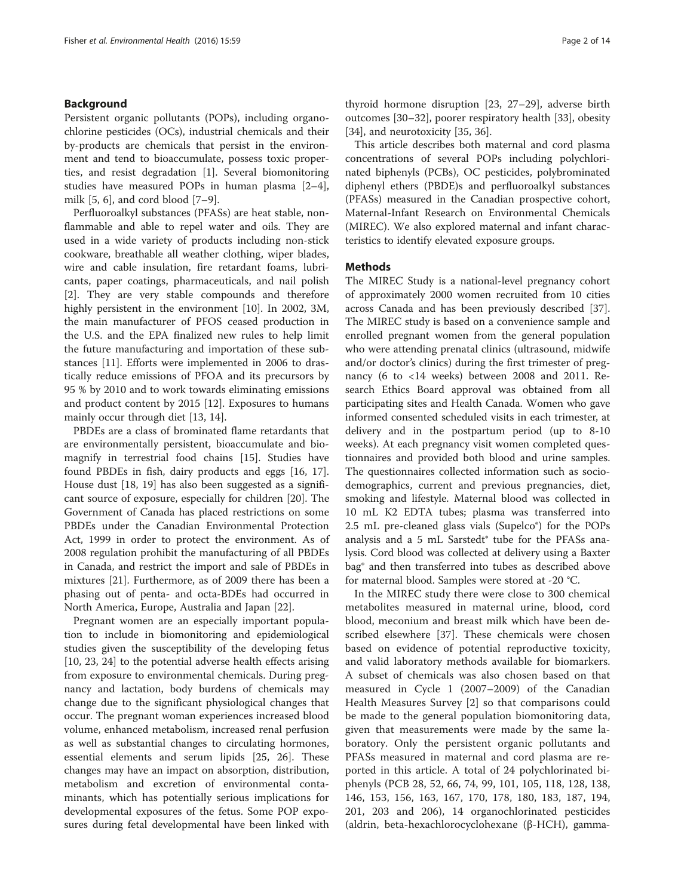## Background

Persistent organic pollutants (POPs), including organochlorine pesticides (OCs), industrial chemicals and their by-products are chemicals that persist in the environment and tend to bioaccumulate, possess toxic properties, and resist degradation [[1\]](#page-12-0). Several biomonitoring studies have measured POPs in human plasma [\[2](#page-12-0)–[4](#page-12-0)], milk [[5, 6\]](#page-12-0), and cord blood [[7](#page-12-0)–[9](#page-12-0)].

Perfluoroalkyl substances (PFASs) are heat stable, nonflammable and able to repel water and oils. They are used in a wide variety of products including non-stick cookware, breathable all weather clothing, wiper blades, wire and cable insulation, fire retardant foams, lubricants, paper coatings, pharmaceuticals, and nail polish [[2\]](#page-12-0). They are very stable compounds and therefore highly persistent in the environment [[10\]](#page-12-0). In 2002, 3M, the main manufacturer of PFOS ceased production in the U.S. and the EPA finalized new rules to help limit the future manufacturing and importation of these substances [[11\]](#page-12-0). Efforts were implemented in 2006 to drastically reduce emissions of PFOA and its precursors by 95 % by 2010 and to work towards eliminating emissions and product content by 2015 [\[12](#page-12-0)]. Exposures to humans mainly occur through diet [[13, 14\]](#page-12-0).

PBDEs are a class of brominated flame retardants that are environmentally persistent, bioaccumulate and biomagnify in terrestrial food chains [[15\]](#page-12-0). Studies have found PBDEs in fish, dairy products and eggs [\[16, 17](#page-12-0)]. House dust [\[18, 19](#page-12-0)] has also been suggested as a significant source of exposure, especially for children [\[20\]](#page-12-0). The Government of Canada has placed restrictions on some PBDEs under the Canadian Environmental Protection Act, 1999 in order to protect the environment. As of 2008 regulation prohibit the manufacturing of all PBDEs in Canada, and restrict the import and sale of PBDEs in mixtures [\[21\]](#page-12-0). Furthermore, as of 2009 there has been a phasing out of penta- and octa-BDEs had occurred in North America, Europe, Australia and Japan [[22\]](#page-12-0).

Pregnant women are an especially important population to include in biomonitoring and epidemiological studies given the susceptibility of the developing fetus [[10, 23, 24\]](#page-12-0) to the potential adverse health effects arising from exposure to environmental chemicals. During pregnancy and lactation, body burdens of chemicals may change due to the significant physiological changes that occur. The pregnant woman experiences increased blood volume, enhanced metabolism, increased renal perfusion as well as substantial changes to circulating hormones, essential elements and serum lipids [[25, 26](#page-12-0)]. These changes may have an impact on absorption, distribution, metabolism and excretion of environmental contaminants, which has potentially serious implications for developmental exposures of the fetus. Some POP exposures during fetal developmental have been linked with thyroid hormone disruption [\[23, 27](#page-12-0)–[29](#page-12-0)], adverse birth outcomes [\[30](#page-12-0)–[32\]](#page-12-0), poorer respiratory health [\[33\]](#page-13-0), obesity [[34\]](#page-13-0), and neurotoxicity [\[35, 36\]](#page-13-0).

This article describes both maternal and cord plasma concentrations of several POPs including polychlorinated biphenyls (PCBs), OC pesticides, polybrominated diphenyl ethers (PBDE)s and perfluoroalkyl substances (PFASs) measured in the Canadian prospective cohort, Maternal-Infant Research on Environmental Chemicals (MIREC). We also explored maternal and infant characteristics to identify elevated exposure groups.

## Methods

The MIREC Study is a national-level pregnancy cohort of approximately 2000 women recruited from 10 cities across Canada and has been previously described [\[37](#page-13-0)]. The MIREC study is based on a convenience sample and enrolled pregnant women from the general population who were attending prenatal clinics (ultrasound, midwife and/or doctor's clinics) during the first trimester of pregnancy (6 to <14 weeks) between 2008 and 2011. Research Ethics Board approval was obtained from all participating sites and Health Canada. Women who gave informed consented scheduled visits in each trimester, at delivery and in the postpartum period (up to 8-10 weeks). At each pregnancy visit women completed questionnaires and provided both blood and urine samples. The questionnaires collected information such as sociodemographics, current and previous pregnancies, diet, smoking and lifestyle. Maternal blood was collected in 10 mL K2 EDTA tubes; plasma was transferred into 2.5 mL pre-cleaned glass vials (Supelco®) for the POPs analysis and a 5 mL Sarstedt® tube for the PFASs analysis. Cord blood was collected at delivery using a Baxter bag® and then transferred into tubes as described above for maternal blood. Samples were stored at -20 °C.

In the MIREC study there were close to 300 chemical metabolites measured in maternal urine, blood, cord blood, meconium and breast milk which have been described elsewhere [\[37](#page-13-0)]. These chemicals were chosen based on evidence of potential reproductive toxicity, and valid laboratory methods available for biomarkers. A subset of chemicals was also chosen based on that measured in Cycle 1 (2007–2009) of the Canadian Health Measures Survey [[2\]](#page-12-0) so that comparisons could be made to the general population biomonitoring data, given that measurements were made by the same laboratory. Only the persistent organic pollutants and PFASs measured in maternal and cord plasma are reported in this article. A total of 24 polychlorinated biphenyls (PCB 28, 52, 66, 74, 99, 101, 105, 118, 128, 138, 146, 153, 156, 163, 167, 170, 178, 180, 183, 187, 194, 201, 203 and 206), 14 organochlorinated pesticides (aldrin, beta-hexachlorocyclohexane (β-HCH), gamma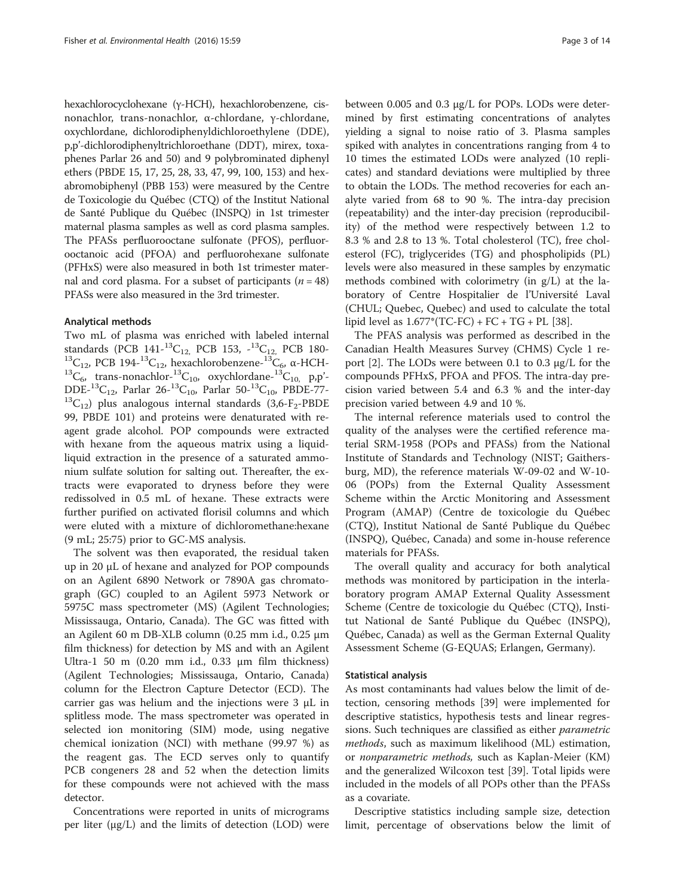hexachlorocyclohexane (γ-HCH), hexachlorobenzene, cisnonachlor, trans-nonachlor, α-chlordane, γ-chlordane, oxychlordane, dichlorodiphenyldichloroethylene (DDE), p,p'-dichlorodiphenyltrichloroethane (DDT), mirex, toxaphenes Parlar 26 and 50) and 9 polybrominated diphenyl ethers (PBDE 15, 17, 25, 28, 33, 47, 99, 100, 153) and hexabromobiphenyl (PBB 153) were measured by the Centre de Toxicologie du Québec (CTQ) of the Institut National de Santé Publique du Québec (INSPQ) in 1st trimester maternal plasma samples as well as cord plasma samples. The PFASs perfluorooctane sulfonate (PFOS), perfluorooctanoic acid (PFOA) and perfluorohexane sulfonate (PFHxS) were also measured in both 1st trimester maternal and cord plasma. For a subset of participants ( $n = 48$ ) PFASs were also measured in the 3rd trimester.

## Analytical methods

Two mL of plasma was enriched with labeled internal standards (PCB 141-<sup>13</sup>C<sub>12</sub>, PCB 153, -<sup>13</sup>C<sub>12</sub>, PCB 180-<br><sup>13</sup>C<sub>12</sub>, PCB 194-<sup>13</sup>C<sub>12</sub>, hexachlorobenzene-<sup>13</sup>C<sub>6</sub>, α-HCH-<br><sup>13</sup>C<sub>6</sub>, trans-nonachlor-<sup>13</sup>C<sub>10</sub>, oxychlordane-<sup>13</sup>C<sub>10,</sub> p,p'-DDE-<sup>13</sup>C<sub>12</sub>, Parlar 26-<sup>13</sup>C<sub>10</sub>, Parlar 50-<sup>13</sup>C<sub>10</sub>, PBDE-77-<br><sup>13</sup>C<sub>12</sub>) plus analogous internal standards (3,6-F<sub>2</sub>-PBDE 99, PBDE 101) and proteins were denaturated with reagent grade alcohol. POP compounds were extracted with hexane from the aqueous matrix using a liquidliquid extraction in the presence of a saturated ammonium sulfate solution for salting out. Thereafter, the extracts were evaporated to dryness before they were redissolved in 0.5 mL of hexane. These extracts were further purified on activated florisil columns and which were eluted with a mixture of dichloromethane:hexane (9 mL; 25:75) prior to GC-MS analysis.

The solvent was then evaporated, the residual taken up in 20 μL of hexane and analyzed for POP compounds on an Agilent 6890 Network or 7890A gas chromatograph (GC) coupled to an Agilent 5973 Network or 5975C mass spectrometer (MS) (Agilent Technologies; Mississauga, Ontario, Canada). The GC was fitted with an Agilent 60 m DB-XLB column (0.25 mm i.d., 0.25 μm film thickness) for detection by MS and with an Agilent Ultra-1 50 m (0.20 mm i.d., 0.33 μm film thickness) (Agilent Technologies; Mississauga, Ontario, Canada) column for the Electron Capture Detector (ECD). The carrier gas was helium and the injections were 3 μL in splitless mode. The mass spectrometer was operated in selected ion monitoring (SIM) mode, using negative chemical ionization (NCI) with methane (99.97 %) as the reagent gas. The ECD serves only to quantify PCB congeners 28 and 52 when the detection limits for these compounds were not achieved with the mass detector.

Concentrations were reported in units of micrograms per liter ( $\mu$ g/L) and the limits of detection (LOD) were between 0.005 and 0.3 μg/L for POPs. LODs were determined by first estimating concentrations of analytes yielding a signal to noise ratio of 3. Plasma samples spiked with analytes in concentrations ranging from 4 to 10 times the estimated LODs were analyzed (10 replicates) and standard deviations were multiplied by three to obtain the LODs. The method recoveries for each analyte varied from 68 to 90 %. The intra-day precision (repeatability) and the inter-day precision (reproducibility) of the method were respectively between 1.2 to 8.3 % and 2.8 to 13 %. Total cholesterol (TC), free cholesterol (FC), triglycerides (TG) and phospholipids (PL) levels were also measured in these samples by enzymatic methods combined with colorimetry (in g/L) at the laboratory of Centre Hospitalier de l'Université Laval (CHUL; Quebec, Quebec) and used to calculate the total lipid level as  $1.677*(TC-FC) + FC + TG + PL$  [\[38](#page-13-0)].

The PFAS analysis was performed as described in the Canadian Health Measures Survey (CHMS) Cycle 1 report [\[2](#page-12-0)]. The LODs were between 0.1 to 0.3 μg/L for the compounds PFHxS, PFOA and PFOS. The intra-day precision varied between 5.4 and 6.3 % and the inter-day precision varied between 4.9 and 10 %.

The internal reference materials used to control the quality of the analyses were the certified reference material SRM-1958 (POPs and PFASs) from the National Institute of Standards and Technology (NIST; Gaithersburg, MD), the reference materials W-09-02 and W-10- 06 (POPs) from the External Quality Assessment Scheme within the Arctic Monitoring and Assessment Program (AMAP) (Centre de toxicologie du Québec (CTQ), Institut National de Santé Publique du Québec (INSPQ), Québec, Canada) and some in-house reference materials for PFASs.

The overall quality and accuracy for both analytical methods was monitored by participation in the interlaboratory program AMAP External Quality Assessment Scheme (Centre de toxicologie du Québec (CTQ), Institut National de Santé Publique du Québec (INSPQ), Québec, Canada) as well as the German External Quality Assessment Scheme (G-EQUAS; Erlangen, Germany).

## Statistical analysis

As most contaminants had values below the limit of detection, censoring methods [[39\]](#page-13-0) were implemented for descriptive statistics, hypothesis tests and linear regressions. Such techniques are classified as either *parametric* methods, such as maximum likelihood (ML) estimation, or nonparametric methods, such as Kaplan-Meier (KM) and the generalized Wilcoxon test [\[39](#page-13-0)]. Total lipids were included in the models of all POPs other than the PFASs as a covariate.

Descriptive statistics including sample size, detection limit, percentage of observations below the limit of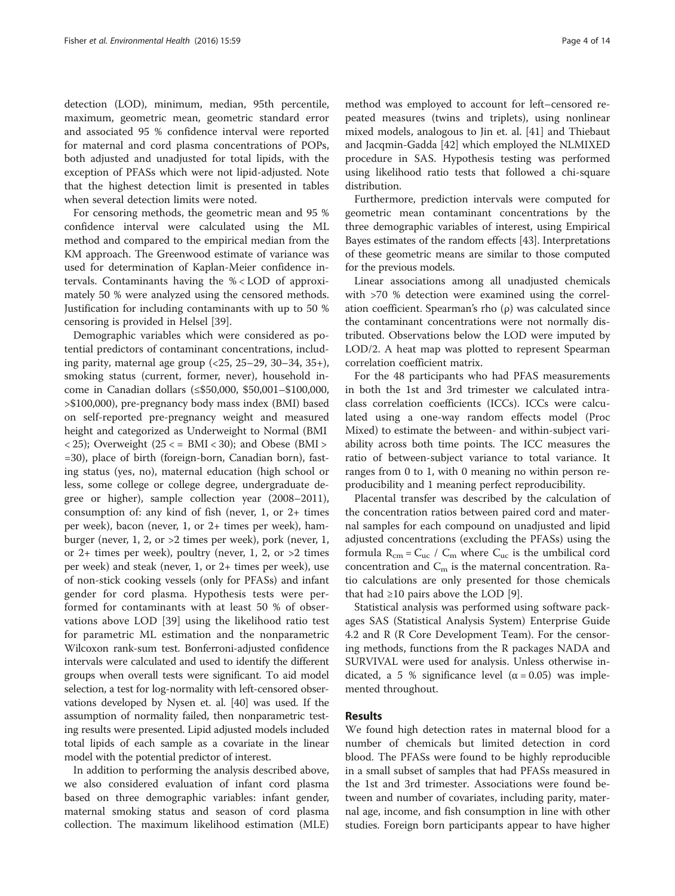detection (LOD), minimum, median, 95th percentile, maximum, geometric mean, geometric standard error and associated 95 % confidence interval were reported for maternal and cord plasma concentrations of POPs, both adjusted and unadjusted for total lipids, with the exception of PFASs which were not lipid-adjusted. Note that the highest detection limit is presented in tables when several detection limits were noted.

For censoring methods, the geometric mean and 95 % confidence interval were calculated using the ML method and compared to the empirical median from the KM approach. The Greenwood estimate of variance was used for determination of Kaplan-Meier confidence intervals. Contaminants having the % < LOD of approximately 50 % were analyzed using the censored methods. Justification for including contaminants with up to 50 % censoring is provided in Helsel [[39](#page-13-0)].

Demographic variables which were considered as potential predictors of contaminant concentrations, including parity, maternal age group (<25, 25–29, 30–34, 35+), smoking status (current, former, never), household income in Canadian dollars (≤\$50,000, \$50,001–\$100,000, >\$100,000), pre-pregnancy body mass index (BMI) based on self-reported pre-pregnancy weight and measured height and categorized as Underweight to Normal (BMI  $\langle 25 \rangle$ ; Overweight (25  $\langle 25 \rangle$  = BMI  $\langle 30 \rangle$ ; and Obese (BMI  $>$ =30), place of birth (foreign-born, Canadian born), fasting status (yes, no), maternal education (high school or less, some college or college degree, undergraduate degree or higher), sample collection year (2008–2011), consumption of: any kind of fish (never, 1, or 2+ times per week), bacon (never, 1, or 2+ times per week), hamburger (never, 1, 2, or >2 times per week), pork (never, 1, or 2+ times per week), poultry (never, 1, 2, or  $>2$  times per week) and steak (never, 1, or 2+ times per week), use of non-stick cooking vessels (only for PFASs) and infant gender for cord plasma. Hypothesis tests were performed for contaminants with at least 50 % of observations above LOD [\[39](#page-13-0)] using the likelihood ratio test for parametric ML estimation and the nonparametric Wilcoxon rank-sum test. Bonferroni-adjusted confidence intervals were calculated and used to identify the different groups when overall tests were significant. To aid model selection, a test for log-normality with left-censored observations developed by Nysen et. al. [[40](#page-13-0)] was used. If the assumption of normality failed, then nonparametric testing results were presented. Lipid adjusted models included total lipids of each sample as a covariate in the linear model with the potential predictor of interest.

In addition to performing the analysis described above, we also considered evaluation of infant cord plasma based on three demographic variables: infant gender, maternal smoking status and season of cord plasma collection. The maximum likelihood estimation (MLE)

method was employed to account for left–censored repeated measures (twins and triplets), using nonlinear mixed models, analogous to Jin et. al. [\[41\]](#page-13-0) and Thiebaut and Jacqmin-Gadda [[42\]](#page-13-0) which employed the NLMIXED procedure in SAS. Hypothesis testing was performed using likelihood ratio tests that followed a chi-square distribution.

Furthermore, prediction intervals were computed for geometric mean contaminant concentrations by the three demographic variables of interest, using Empirical Bayes estimates of the random effects [\[43](#page-13-0)]. Interpretations of these geometric means are similar to those computed for the previous models.

Linear associations among all unadjusted chemicals with >70 % detection were examined using the correlation coefficient. Spearman's rho  $(ρ)$  was calculated since the contaminant concentrations were not normally distributed. Observations below the LOD were imputed by LOD/2. A heat map was plotted to represent Spearman correlation coefficient matrix.

For the 48 participants who had PFAS measurements in both the 1st and 3rd trimester we calculated intraclass correlation coefficients (ICCs). ICCs were calculated using a one-way random effects model (Proc Mixed) to estimate the between- and within-subject variability across both time points. The ICC measures the ratio of between-subject variance to total variance. It ranges from 0 to 1, with 0 meaning no within person reproducibility and 1 meaning perfect reproducibility.

Placental transfer was described by the calculation of the concentration ratios between paired cord and maternal samples for each compound on unadjusted and lipid adjusted concentrations (excluding the PFASs) using the formula  $R_{cm} = C_{uc} / C_{m}$  where  $C_{uc}$  is the umbilical cord concentration and  $C_m$  is the maternal concentration. Ratio calculations are only presented for those chemicals that had  $\geq 10$  pairs above the LOD [\[9\]](#page-12-0).

Statistical analysis was performed using software packages SAS (Statistical Analysis System) Enterprise Guide 4.2 and R (R Core Development Team). For the censoring methods, functions from the R packages NADA and SURVIVAL were used for analysis. Unless otherwise indicated, a 5 % significance level ( $\alpha$  = 0.05) was implemented throughout.

## Results

We found high detection rates in maternal blood for a number of chemicals but limited detection in cord blood. The PFASs were found to be highly reproducible in a small subset of samples that had PFASs measured in the 1st and 3rd trimester. Associations were found between and number of covariates, including parity, maternal age, income, and fish consumption in line with other studies. Foreign born participants appear to have higher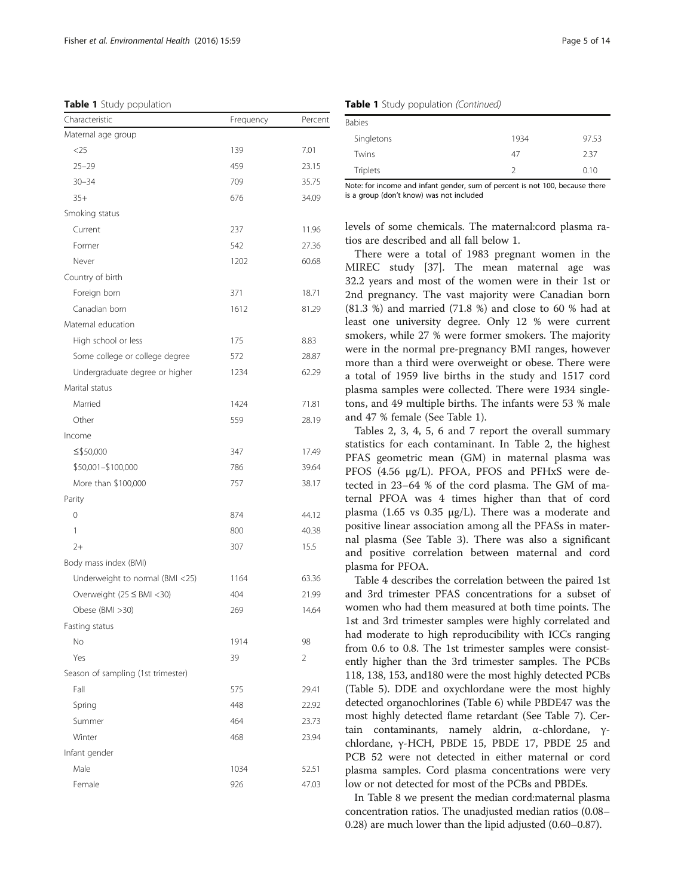| Table 1 Study population |  |  |  |
|--------------------------|--|--|--|
|--------------------------|--|--|--|

| Characteristic                     | Frequency | Percent        |
|------------------------------------|-----------|----------------|
| Maternal age group                 |           |                |
| $<$ 25                             | 139       | 7.01           |
| $25 - 29$                          | 459       | 23.15          |
| $30 - 34$                          | 709       | 35.75          |
| $35+$                              | 676       | 34.09          |
| Smoking status                     |           |                |
| Current                            | 237       | 11.96          |
| Former                             | 542       | 27.36          |
| Never                              | 1202      | 60.68          |
| Country of birth                   |           |                |
| Foreign born                       | 371       | 18.71          |
| Canadian born                      | 1612      | 81.29          |
| Maternal education                 |           |                |
| High school or less                | 175       | 8.83           |
| Some college or college degree     | 572       | 28.87          |
| Undergraduate degree or higher     | 1234      | 62.29          |
| Marital status                     |           |                |
| Married                            | 1424      | 71.81          |
| Other                              | 559       | 28.19          |
| Income                             |           |                |
| ≤\$50,000                          | 347       | 17.49          |
| \$50,001-\$100,000                 | 786       | 39.64          |
| More than \$100,000                | 757       | 38.17          |
| Parity                             |           |                |
| 0                                  | 874       | 44.12          |
| 1                                  | 800       | 40.38          |
| $2+$                               | 307       | 15.5           |
| Body mass index (BMI)              |           |                |
| Underweight to normal (BMI <25)    | 1164      | 63.36          |
| Overweight (25 ≤ BMI <30)          | 404       | 21.99          |
| Obese (BMI >30)                    | 269       | 14.64          |
| Fasting status                     |           |                |
| No                                 | 1914      | 98             |
| Yes                                | 39        | $\overline{2}$ |
| Season of sampling (1st trimester) |           |                |
| Fall                               | 575       | 29.41          |
| Spring                             | 448       | 22.92          |
| Summer                             | 464       | 23.73          |
| Winter                             | 468       | 23.94          |
| Infant gender                      |           |                |
| Male                               | 1034      | 52.51          |
| Female                             | 926       | 47.03          |

Table 1 Study population (Continued)

| .<br>. .      | . .  |       |
|---------------|------|-------|
| <b>Babies</b> |      |       |
| Singletons    | 1934 | 97.53 |
| Twins         | 47   | 2.37  |
| Triplets      |      | 0.10  |

Note: for income and infant gender, sum of percent is not 100, because there is a group (don't know) was not included

levels of some chemicals. The maternal:cord plasma ratios are described and all fall below 1.

There were a total of 1983 pregnant women in the MIREC study [\[37](#page-13-0)]. The mean maternal age was 32.2 years and most of the women were in their 1st or 2nd pregnancy. The vast majority were Canadian born (81.3 %) and married (71.8 %) and close to 60 % had at least one university degree. Only 12 % were current smokers, while 27 % were former smokers. The majority were in the normal pre-pregnancy BMI ranges, however more than a third were overweight or obese. There were a total of 1959 live births in the study and 1517 cord plasma samples were collected. There were 1934 singletons, and 49 multiple births. The infants were 53 % male and 47 % female (See Table 1).

Tables [2](#page-5-0), [3](#page-5-0), [4,](#page-6-0) [5,](#page-7-0) [6](#page-8-0) and [7](#page-8-0) report the overall summary statistics for each contaminant. In Table [2,](#page-5-0) the highest PFAS geometric mean (GM) in maternal plasma was PFOS (4.56 μg/L). PFOA, PFOS and PFHxS were detected in 23–64 % of the cord plasma. The GM of maternal PFOA was 4 times higher than that of cord plasma (1.65 vs 0.35 μg/L). There was a moderate and positive linear association among all the PFASs in maternal plasma (See Table [3](#page-5-0)). There was also a significant and positive correlation between maternal and cord plasma for PFOA.

Table [4](#page-6-0) describes the correlation between the paired 1st and 3rd trimester PFAS concentrations for a subset of women who had them measured at both time points. The 1st and 3rd trimester samples were highly correlated and had moderate to high reproducibility with ICCs ranging from 0.6 to 0.8. The 1st trimester samples were consistently higher than the 3rd trimester samples. The PCBs 118, 138, 153, and180 were the most highly detected PCBs (Table [5\)](#page-7-0). DDE and oxychlordane were the most highly detected organochlorines (Table [6](#page-8-0)) while PBDE47 was the most highly detected flame retardant (See Table [7\)](#page-8-0). Certain contaminants, namely aldrin, α-chlordane, γchlordane, γ-HCH, PBDE 15, PBDE 17, PBDE 25 and PCB 52 were not detected in either maternal or cord plasma samples. Cord plasma concentrations were very low or not detected for most of the PCBs and PBDEs.

In Table [8](#page-9-0) we present the median cord:maternal plasma concentration ratios. The unadjusted median ratios (0.08– 0.28) are much lower than the lipid adjusted (0.60–0.87).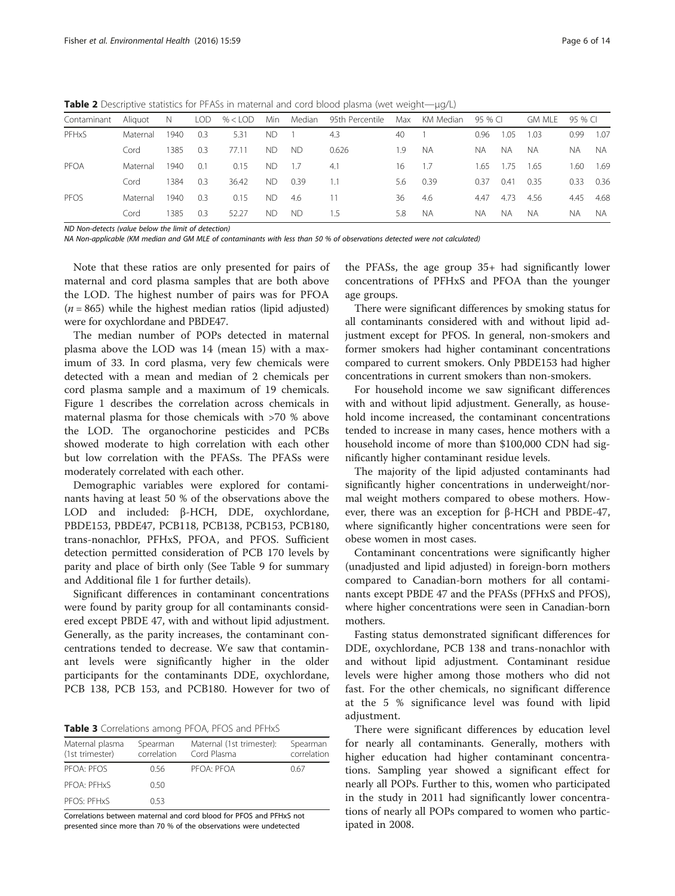<span id="page-5-0"></span>Table 2 Descriptive statistics for PFASs in maternal and cord blood plasma (wet weight—μg/L)

| Contaminant | Aliauot  | $\overline{N}$ |     | $LOD \quad \% < LOD$ | Min       |           | Median 95th Percentile |     | Max KM Median | 95 % CI |      | gm mle    | 95 % CI |           |
|-------------|----------|----------------|-----|----------------------|-----------|-----------|------------------------|-----|---------------|---------|------|-----------|---------|-----------|
| PFHxS       | Maternal | 1940           | 0.3 | 5.31                 | ND.       |           | 4.3                    | 40  |               | 0.96    | 1.05 | 1.03      | 0.99    | 1.07      |
|             | Cord     | 1385           | 0.3 | 77.11                | <b>ND</b> | <b>ND</b> | 0.626                  | 1.9 | NA.           | NA.     | NA.  | <b>NA</b> | NA.     | NA.       |
| PFOA        | Maternal | 1940           | 0.1 | 0.15                 | <b>ND</b> | 1.7       | 4.1                    | 16  | 1.7           | 1.65    | 1.75 | -1.65     | 1.60    | 1.69      |
|             | Cord     | 1384           | 0.3 | 36.42                | ND.       | 0.39      | 1.1                    | 5.6 | 0.39          | 0.37    | 0.41 | 0.35      | 0.33    | 0.36      |
| PFOS        | Maternal | 1940           | 0.3 | 0.15                 | <b>ND</b> | 4.6       | 11                     | 36  | 4.6           | 4.47    | 4.73 | 4.56      | 4.45    | 4.68      |
|             | Cord     | 1385           | 0.3 | 52.27                | ND.       | ND.       | 1.5                    | 5.8 | NA.           | NA.     | NA.  | N.        | ΝA      | <b>NA</b> |

ND Non-detects (value below the limit of detection)

NA Non-applicable (KM median and GM MLE of contaminants with less than 50 % of observations detected were not calculated)

Note that these ratios are only presented for pairs of maternal and cord plasma samples that are both above the LOD. The highest number of pairs was for PFOA  $(n = 865)$  while the highest median ratios (lipid adjusted) were for oxychlordane and PBDE47.

The median number of POPs detected in maternal plasma above the LOD was 14 (mean 15) with a maximum of 33. In cord plasma, very few chemicals were detected with a mean and median of 2 chemicals per cord plasma sample and a maximum of 19 chemicals. Figure [1](#page-10-0) describes the correlation across chemicals in maternal plasma for those chemicals with >70 % above the LOD. The organochorine pesticides and PCBs showed moderate to high correlation with each other but low correlation with the PFASs. The PFASs were moderately correlated with each other.

Demographic variables were explored for contaminants having at least 50 % of the observations above the LOD and included: β-HCH, DDE, oxychlordane, PBDE153, PBDE47, PCB118, PCB138, PCB153, PCB180, trans-nonachlor, PFHxS, PFOA, and PFOS. Sufficient detection permitted consideration of PCB 170 levels by parity and place of birth only (See Table [9](#page-11-0) for summary and Additional file [1](#page-11-0) for further details).

Significant differences in contaminant concentrations were found by parity group for all contaminants considered except PBDE 47, with and without lipid adjustment. Generally, as the parity increases, the contaminant concentrations tended to decrease. We saw that contaminant levels were significantly higher in the older participants for the contaminants DDE, oxychlordane, PCB 138, PCB 153, and PCB180. However for two of

Table 3 Correlations among PFOA, PFOS and PFHxS

| Maternal plasma<br>(1st trimester) | Spearman<br>correlation | Maternal (1st trimester):<br>Cord Plasma | Spearman<br>correlation |
|------------------------------------|-------------------------|------------------------------------------|-------------------------|
| PEOA: PEOS                         | 0.56                    | PFOA: PFOA                               | 0.67                    |
| PFOA: PFHxS                        | 0.50                    |                                          |                         |
| PFOS: PFHxS                        | 053                     |                                          |                         |

Correlations between maternal and cord blood for PFOS and PFHxS not presented since more than 70 % of the observations were undetected

the PFASs, the age group 35+ had significantly lower concentrations of PFHxS and PFOA than the younger age groups.

There were significant differences by smoking status for all contaminants considered with and without lipid adjustment except for PFOS. In general, non-smokers and former smokers had higher contaminant concentrations compared to current smokers. Only PBDE153 had higher concentrations in current smokers than non-smokers.

For household income we saw significant differences with and without lipid adjustment. Generally, as household income increased, the contaminant concentrations tended to increase in many cases, hence mothers with a household income of more than \$100,000 CDN had significantly higher contaminant residue levels.

The majority of the lipid adjusted contaminants had significantly higher concentrations in underweight/normal weight mothers compared to obese mothers. However, there was an exception for β-HCH and PBDE-47, where significantly higher concentrations were seen for obese women in most cases.

Contaminant concentrations were significantly higher (unadjusted and lipid adjusted) in foreign-born mothers compared to Canadian-born mothers for all contaminants except PBDE 47 and the PFASs (PFHxS and PFOS), where higher concentrations were seen in Canadian-born mothers.

Fasting status demonstrated significant differences for DDE, oxychlordane, PCB 138 and trans-nonachlor with and without lipid adjustment. Contaminant residue levels were higher among those mothers who did not fast. For the other chemicals, no significant difference at the 5 % significance level was found with lipid adjustment.

There were significant differences by education level for nearly all contaminants. Generally, mothers with higher education had higher contaminant concentrations. Sampling year showed a significant effect for nearly all POPs. Further to this, women who participated in the study in 2011 had significantly lower concentrations of nearly all POPs compared to women who participated in 2008.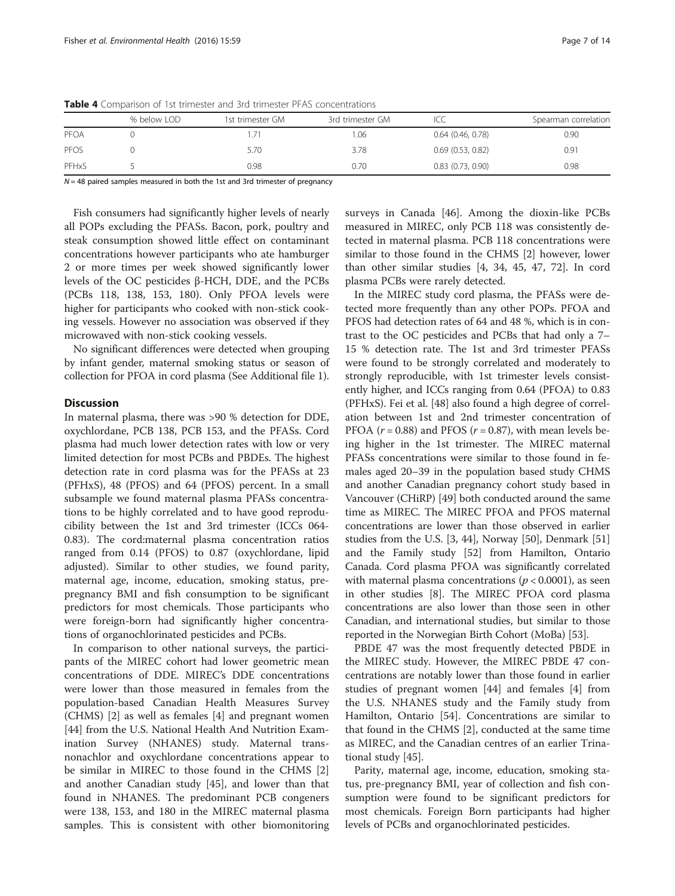|       | % below LOD | 1st trimester GM | 3rd trimester GM |                       | Spearman correlation |
|-------|-------------|------------------|------------------|-----------------------|----------------------|
| PFOA  |             |                  | .06              | $0.64$ (0.46, 0.78)   | 0.90                 |
| PFOS  |             | 5.70             | 3.78             | $0.69$ $(0.53, 0.82)$ | 0.91                 |
| PFHxS |             | 0.98             | 0.70             | $0.83$ $(0.73, 0.90)$ | 0.98                 |

<span id="page-6-0"></span>Table 4 Comparison of 1st trimester and 3rd trimester PFAS concentrations

 $N = 48$  paired samples measured in both the 1st and 3rd trimester of pregnancy

Fish consumers had significantly higher levels of nearly all POPs excluding the PFASs. Bacon, pork, poultry and steak consumption showed little effect on contaminant concentrations however participants who ate hamburger 2 or more times per week showed significantly lower levels of the OC pesticides β-HCH, DDE, and the PCBs (PCBs 118, 138, 153, 180). Only PFOA levels were higher for participants who cooked with non-stick cooking vessels. However no association was observed if they microwaved with non-stick cooking vessels.

No significant differences were detected when grouping by infant gender, maternal smoking status or season of collection for PFOA in cord plasma (See Additional file [1](#page-11-0)).

## **Discussion**

In maternal plasma, there was >90 % detection for DDE, oxychlordane, PCB 138, PCB 153, and the PFASs. Cord plasma had much lower detection rates with low or very limited detection for most PCBs and PBDEs. The highest detection rate in cord plasma was for the PFASs at 23 (PFHxS), 48 (PFOS) and 64 (PFOS) percent. In a small subsample we found maternal plasma PFASs concentrations to be highly correlated and to have good reproducibility between the 1st and 3rd trimester (ICCs 064- 0.83). The cord:maternal plasma concentration ratios ranged from 0.14 (PFOS) to 0.87 (oxychlordane, lipid adjusted). Similar to other studies, we found parity, maternal age, income, education, smoking status, prepregnancy BMI and fish consumption to be significant predictors for most chemicals. Those participants who were foreign-born had significantly higher concentrations of organochlorinated pesticides and PCBs.

In comparison to other national surveys, the participants of the MIREC cohort had lower geometric mean concentrations of DDE. MIREC's DDE concentrations were lower than those measured in females from the population-based Canadian Health Measures Survey (CHMS) [\[2\]](#page-12-0) as well as females [\[4](#page-12-0)] and pregnant women [[44\]](#page-13-0) from the U.S. National Health And Nutrition Examination Survey (NHANES) study. Maternal transnonachlor and oxychlordane concentrations appear to be similar in MIREC to those found in the CHMS [\[2](#page-12-0)] and another Canadian study [\[45\]](#page-13-0), and lower than that found in NHANES. The predominant PCB congeners were 138, 153, and 180 in the MIREC maternal plasma samples. This is consistent with other biomonitoring surveys in Canada [[46\]](#page-13-0). Among the dioxin-like PCBs measured in MIREC, only PCB 118 was consistently detected in maternal plasma. PCB 118 concentrations were similar to those found in the CHMS [[2\]](#page-12-0) however, lower than other similar studies [[4,](#page-12-0) [34](#page-13-0), [45](#page-13-0), [47](#page-13-0), [72](#page-13-0)]. In cord plasma PCBs were rarely detected.

In the MIREC study cord plasma, the PFASs were detected more frequently than any other POPs. PFOA and PFOS had detection rates of 64 and 48 %, which is in contrast to the OC pesticides and PCBs that had only a 7– 15 % detection rate. The 1st and 3rd trimester PFASs were found to be strongly correlated and moderately to strongly reproducible, with 1st trimester levels consistently higher, and ICCs ranging from 0.64 (PFOA) to 0.83 (PFHxS). Fei et al. [\[48](#page-13-0)] also found a high degree of correlation between 1st and 2nd trimester concentration of PFOA ( $r = 0.88$ ) and PFOS ( $r = 0.87$ ), with mean levels being higher in the 1st trimester. The MIREC maternal PFASs concentrations were similar to those found in females aged 20–39 in the population based study CHMS and another Canadian pregnancy cohort study based in Vancouver (CHiRP) [\[49\]](#page-13-0) both conducted around the same time as MIREC. The MIREC PFOA and PFOS maternal concentrations are lower than those observed in earlier studies from the U.S. [\[3](#page-12-0), [44](#page-13-0)], Norway [\[50](#page-13-0)], Denmark [[51](#page-13-0)] and the Family study [\[52](#page-13-0)] from Hamilton, Ontario Canada. Cord plasma PFOA was significantly correlated with maternal plasma concentrations ( $p < 0.0001$ ), as seen in other studies [\[8](#page-12-0)]. The MIREC PFOA cord plasma concentrations are also lower than those seen in other Canadian, and international studies, but similar to those reported in the Norwegian Birth Cohort (MoBa) [[53](#page-13-0)].

PBDE 47 was the most frequently detected PBDE in the MIREC study. However, the MIREC PBDE 47 concentrations are notably lower than those found in earlier studies of pregnant women [[44](#page-13-0)] and females [[4\]](#page-12-0) from the U.S. NHANES study and the Family study from Hamilton, Ontario [\[54](#page-13-0)]. Concentrations are similar to that found in the CHMS [[2\]](#page-12-0), conducted at the same time as MIREC, and the Canadian centres of an earlier Trinational study [[45\]](#page-13-0).

Parity, maternal age, income, education, smoking status, pre-pregnancy BMI, year of collection and fish consumption were found to be significant predictors for most chemicals. Foreign Born participants had higher levels of PCBs and organochlorinated pesticides.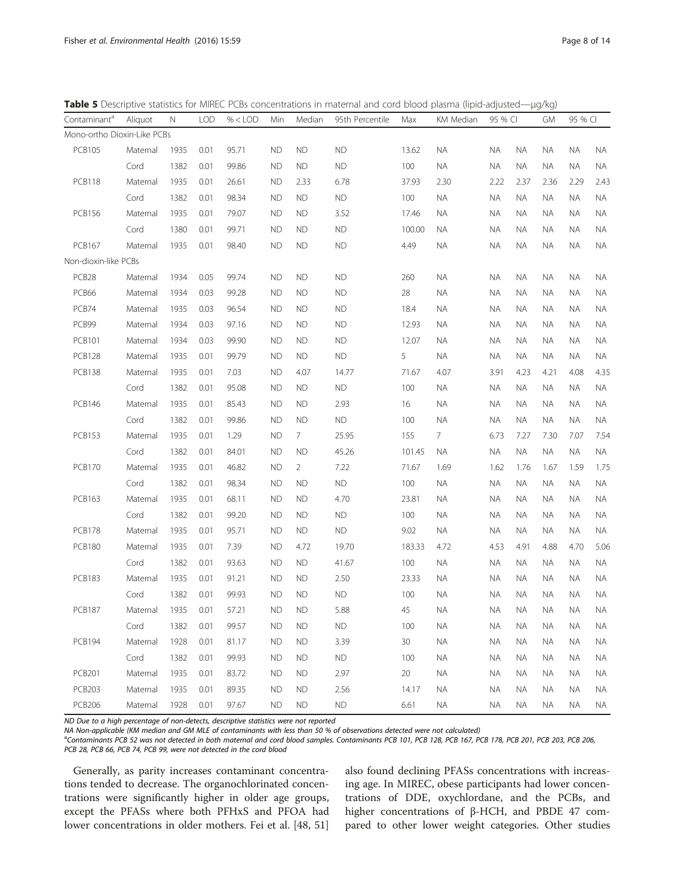<span id="page-7-0"></span>Table 5 Descriptive statistics for MIREC PCBs concentrations in maternal and cord blood plasma (lipid-adjusted—μg/kg)

| Contaminant <sup>a</sup>    | Aliquot  | Ν    | <b>LOD</b> | $% <$ LOD | Min       | Median         | 95th Percentile | Max    | KM Median<br>95 % CI |           |           |           | 95 % CI<br><b>GM</b> |           |
|-----------------------------|----------|------|------------|-----------|-----------|----------------|-----------------|--------|----------------------|-----------|-----------|-----------|----------------------|-----------|
| Mono-ortho Dioxin-Like PCBs |          |      |            |           |           |                |                 |        |                      |           |           |           |                      |           |
| <b>PCB105</b>               | Maternal | 1935 | 0.01       | 95.71     | <b>ND</b> | <b>ND</b>      | ND              | 13.62  | <b>NA</b>            | <b>NA</b> | <b>NA</b> | <b>NA</b> | <b>NA</b>            | <b>NA</b> |
|                             | Cord     | 1382 | 0.01       | 99.86     | <b>ND</b> | <b>ND</b>      | ND              | 100    | <b>NA</b>            | <b>NA</b> | ΝA        | <b>NA</b> | ΝA                   | <b>NA</b> |
| <b>PCB118</b>               | Maternal | 1935 | 0.01       | 26.61     | <b>ND</b> | 2.33           | 6.78            | 37.93  | 2.30                 | 2.22      | 2.37      | 2.36      | 2.29                 | 2.43      |
|                             | Cord     | 1382 | 0.01       | 98.34     | <b>ND</b> | <b>ND</b>      | ND              | 100    | <b>NA</b>            | <b>NA</b> | <b>NA</b> | <b>NA</b> | ΝA                   | <b>NA</b> |
| <b>PCB156</b>               | Maternal | 1935 | 0.01       | 79.07     | <b>ND</b> | <b>ND</b>      | 3.52            | 17.46  | <b>NA</b>            | ΝA        | <b>NA</b> | ΝA        | ΝA                   | NA        |
|                             | Cord     | 1380 | 0.01       | 99.71     | <b>ND</b> | <b>ND</b>      | <b>ND</b>       | 100.00 | <b>NA</b>            | ΝA        | <b>NA</b> | <b>NA</b> | ΝA                   | NA        |
| <b>PCB167</b>               | Maternal | 1935 | 0.01       | 98.40     | ND        | <b>ND</b>      | ${\sf ND}$      | 4.49   | <b>NA</b>            | ΝA        | <b>NA</b> | <b>NA</b> | ΝA                   | NA        |
| Non-dioxin-like PCBs        |          |      |            |           |           |                |                 |        |                      |           |           |           |                      |           |
| PCB28                       | Maternal | 1934 | 0.05       | 99.74     | <b>ND</b> | <b>ND</b>      | <b>ND</b>       | 260    | NA.                  | ΝA        | ΝA        | ΝA        | ΝA                   | <b>NA</b> |
| PCB66                       | Maternal | 1934 | 0.03       | 99.28     | <b>ND</b> | <b>ND</b>      | <b>ND</b>       | 28     | <b>NA</b>            | ΝA        | <b>NA</b> | <b>NA</b> | <b>NA</b>            | NA        |
| PCB74                       | Maternal | 1935 | 0.03       | 96.54     | <b>ND</b> | <b>ND</b>      | <b>ND</b>       | 18.4   | <b>NA</b>            | ΝA        | <b>NA</b> | ΝA        | ΝA                   | NA        |
| PCB99                       | Maternal | 1934 | 0.03       | 97.16     | <b>ND</b> | <b>ND</b>      | <b>ND</b>       | 12.93  | $\sf NA$             | ΝA        | ΝA        | ΝA        | ΝA                   | NA        |
| <b>PCB101</b>               | Maternal | 1934 | 0.03       | 99.90     | <b>ND</b> | <b>ND</b>      | ND              | 12.07  | <b>NA</b>            | ΝA        | <b>NA</b> | <b>NA</b> | <b>NA</b>            | NA        |
| <b>PCB128</b>               | Maternal | 1935 | 0.01       | 99.79     | <b>ND</b> | <b>ND</b>      | <b>ND</b>       | 5      | <b>NA</b>            | ΝA        | <b>NA</b> | <b>NA</b> | ΝA                   | <b>NA</b> |
| <b>PCB138</b>               | Maternal | 1935 | 0.01       | 7.03      | <b>ND</b> | 4.07           | 14.77           | 71.67  | 4.07                 | 3.91      | 4.23      | 4.21      | 4.08                 | 4.35      |
|                             | Cord     | 1382 | 0.01       | 95.08     | <b>ND</b> | <b>ND</b>      | ND              | 100    | <b>NA</b>            | <b>NA</b> | <b>NA</b> | <b>NA</b> | NA.                  | $\sf NA$  |
| <b>PCB146</b>               | Maternal | 1935 | 0.01       | 85.43     | <b>ND</b> | <b>ND</b>      | 2.93            | 16     | <b>NA</b>            | ΝA        | <b>NA</b> | ΝA        | ΝA                   | NA        |
|                             | Cord     | 1382 | 0.01       | 99.86     | <b>ND</b> | <b>ND</b>      | ND              | 100    | <b>NA</b>            | ΝA        | <b>NA</b> | <b>NA</b> | ΝA                   | <b>NA</b> |
| <b>PCB153</b>               | Maternal | 1935 | 0.01       | 1.29      | <b>ND</b> | $7^{\circ}$    | 25.95           | 155    | $7\overline{ }$      | 6.73      | 7.27      | 7.30      | 7.07                 | 7.54      |
|                             | Cord     | 1382 | 0.01       | 84.01     | <b>ND</b> | <b>ND</b>      | 45.26           | 101.45 | <b>NA</b>            | <b>NA</b> | <b>NA</b> | <b>NA</b> | <b>NA</b>            | <b>NA</b> |
| <b>PCB170</b>               | Maternal | 1935 | 0.01       | 46.82     | <b>ND</b> | $\overline{2}$ | 7.22            | 71.67  | 1.69                 | 1.62      | 1.76      | 1.67      | 1.59                 | 1.75      |
|                             | Cord     | 1382 | 0.01       | 98.34     | <b>ND</b> | <b>ND</b>      | ND              | 100    | <b>NA</b>            | <b>NA</b> | <b>NA</b> | <b>NA</b> | <b>NA</b>            | NA        |
| <b>PCB163</b>               | Maternal | 1935 | 0.01       | 68.11     | <b>ND</b> | <b>ND</b>      | 4.70            | 23.81  | <b>NA</b>            | ΝA        | <b>NA</b> | ΝA        | ΝA                   | NA        |
|                             | Cord     | 1382 | 0.01       | 99.20     | <b>ND</b> | <b>ND</b>      | ND              | 100    | <b>NA</b>            | ΝA        | ΝA        | ΝA        | ΝA                   | <b>NA</b> |
| <b>PCB178</b>               | Maternal | 1935 | 0.01       | 95.71     | <b>ND</b> | <b>ND</b>      | <b>ND</b>       | 9.02   | <b>NA</b>            | ΝA        | <b>NA</b> | <b>NA</b> | <b>NA</b>            | <b>NA</b> |
| <b>PCB180</b>               | Maternal | 1935 | 0.01       | 7.39      | <b>ND</b> | 4.72           | 19.70           | 183.33 | 4.72                 | 4.53      | 4.91      | 4.88      | 4.70                 | 5.06      |
|                             | Cord     | 1382 | 0.01       | 93.63     | <b>ND</b> | <b>ND</b>      | 41.67           | 100    | <b>NA</b>            | ΝA        | ΝA        | NA.       | ΝA                   | $\sf NA$  |
| <b>PCB183</b>               | Maternal | 1935 | 0.01       | 91.21     | <b>ND</b> | <b>ND</b>      | 2.50            | 23.33  | <b>NA</b>            | ΝA        | <b>NA</b> | <b>NA</b> | ΝA                   | NA        |
|                             | Cord     | 1382 | 0.01       | 99.93     | <b>ND</b> | <b>ND</b>      | ${\sf ND}$      | 100    | <b>NA</b>            | ΝA        | <b>NA</b> | ΝA        | ΝA                   | NA        |
| <b>PCB187</b>               | Maternal | 1935 | 0.01       | 57.21     | <b>ND</b> | <b>ND</b>      | 5.88            | 45     | NA.                  | ΝA        | <b>NA</b> | <b>NA</b> | ΝA                   | <b>NA</b> |
|                             | Cord     | 1382 | 0.01       | 99.57     | <b>ND</b> | <b>ND</b>      | <b>ND</b>       | 100    | ΝA                   | <b>NA</b> | ΝA        | ΝA        | ΝA                   | ΝA        |
| <b>PCB194</b>               | Maternal | 1928 | 0.01       | 81.17     | <b>ND</b> | <b>ND</b>      | 3.39            | 30     | <b>NA</b>            | ΝA        | ΝA        | ΝA        | ΝA                   | <b>NA</b> |
|                             | Cord     | 1382 | 0.01       | 99.93     | <b>ND</b> | <b>ND</b>      | ND              | 100    | NA.                  | ΝA        | NА        | ΝA        | ΝA                   | ΝA        |
| <b>PCB201</b>               | Maternal | 1935 | 0.01       | 83.72     | <b>ND</b> | <b>ND</b>      | 2.97            | 20     | ΝA                   | ΝA        | <b>NA</b> | ΝA        | ΝA                   | ΝA        |
| <b>PCB203</b>               | Maternal | 1935 | 0.01       | 89.35     | <b>ND</b> | <b>ND</b>      | 2.56            | 14.17  | NA.                  | NА        | NА        | ΝA        | NА                   | ΝA        |
| <b>PCB206</b>               | Maternal | 1928 | 0.01       | 97.67     | <b>ND</b> | <b>ND</b>      | <b>ND</b>       | 6.61   | <b>NA</b>            | ΝA        | ΝA        | ΝA        | ΝA                   | ΝA        |

ND Due to a high percentage of non-detects, descriptive statistics were not reported

NA Non-applicable (KM median and GM MLE of contaminants with less than 50 % of observations detected were not calculated)

<sup>a</sup>Contaminants PCB 52 was not detected in both maternal and cord blood samples. Contaminants PCB 101, PCB 128, PCB 178, PCB 178, PCB 201, PCB 203, PCB 206, PCB 28, PCB 66, PCB 74, PCB 99, were not detected in the cord blood

Generally, as parity increases contaminant concentrations tended to decrease. The organochlorinated concentrations were significantly higher in older age groups, except the PFASs where both PFHxS and PFOA had lower concentrations in older mothers. Fei et al. [\[48](#page-13-0), [51](#page-13-0)] also found declining PFASs concentrations with increasing age. In MIREC, obese participants had lower concentrations of DDE, oxychlordane, and the PCBs, and higher concentrations of β-HCH, and PBDE 47 compared to other lower weight categories. Other studies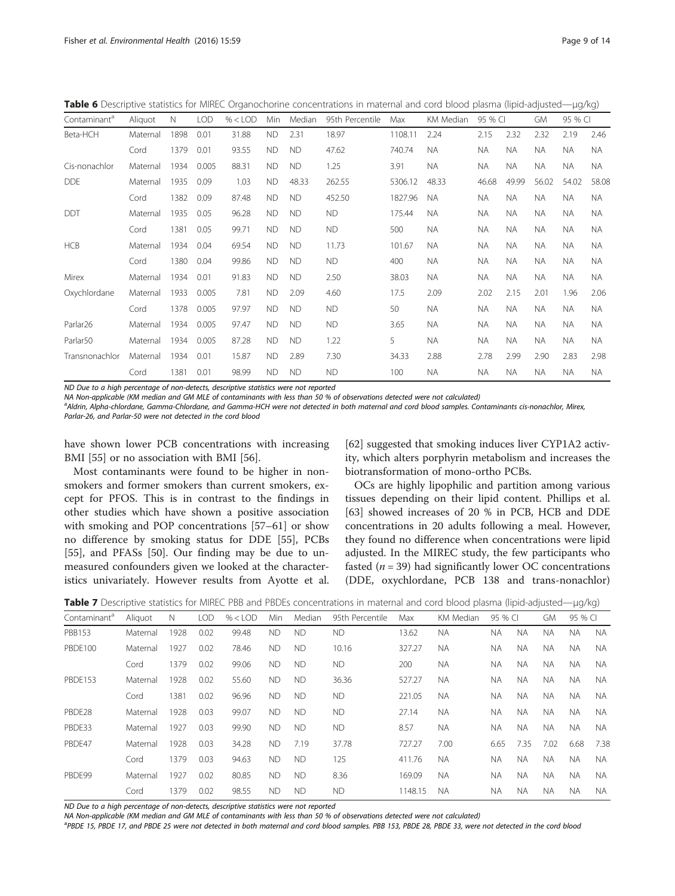<span id="page-8-0"></span>Table 6 Descriptive statistics for MIREC Organochorine concentrations in maternal and cord blood plasma (lipid-adjusted—μg/kg)

| Contaminant <sup>a</sup> | Aliquot  | N    | <b>LOD</b> | $% <$ LOD | Min       | Median    | 95th Percentile | Max     | KM Median | 95 % CI   |           | GM        | 95 % CI   |           |
|--------------------------|----------|------|------------|-----------|-----------|-----------|-----------------|---------|-----------|-----------|-----------|-----------|-----------|-----------|
| Beta-HCH                 | Maternal | 1898 | 0.01       | 31.88     | <b>ND</b> | 2.31      | 18.97           | 1108.11 | 2.24      | 2.15      | 2.32      | 2.32      | 2.19      | 2.46      |
|                          | Cord     | 1379 | 0.01       | 93.55     | <b>ND</b> | <b>ND</b> | 47.62           | 740.74  | <b>NA</b> | <b>NA</b> | <b>NA</b> | <b>NA</b> | NA.       | <b>NA</b> |
| Cis-nonachlor            | Maternal | 1934 | 0.005      | 88.31     | <b>ND</b> | <b>ND</b> | 1.25            | 3.91    | <b>NA</b> | <b>NA</b> | <b>NA</b> | <b>NA</b> | <b>NA</b> | NA.       |
| <b>DDE</b>               | Maternal | 1935 | 0.09       | 1.03      | <b>ND</b> | 48.33     | 262.55          | 5306.12 | 48.33     | 46.68     | 49.99     | 56.02     | 54.02     | 58.08     |
|                          | Cord     | 1382 | 0.09       | 87.48     | <b>ND</b> | <b>ND</b> | 452.50          | 1827.96 | <b>NA</b> | ΝA        | NA.       | NA.       | NA.       | NA.       |
| <b>DDT</b>               | Maternal | 1935 | 0.05       | 96.28     | <b>ND</b> | <b>ND</b> | <b>ND</b>       | 175.44  | <b>NA</b> | <b>NA</b> | <b>NA</b> | <b>NA</b> | <b>NA</b> | <b>NA</b> |
|                          | Cord     | 1381 | 0.05       | 99.71     | <b>ND</b> | <b>ND</b> | <b>ND</b>       | 500     | <b>NA</b> | <b>NA</b> | NA.       | <b>NA</b> | NA.       | NA.       |
| <b>HCB</b>               | Maternal | 1934 | 0.04       | 69.54     | <b>ND</b> | <b>ND</b> | 11.73           | 101.67  | <b>NA</b> | ΝA        | <b>NA</b> | NA.       | <b>NA</b> | NA.       |
|                          | Cord     | 1380 | 0.04       | 99.86     | <b>ND</b> | <b>ND</b> | <b>ND</b>       | 400     | <b>NA</b> | <b>NA</b> | <b>NA</b> | NA.       | NA.       | <b>NA</b> |
| Mirex                    | Maternal | 1934 | 0.01       | 91.83     | <b>ND</b> | <b>ND</b> | 2.50            | 38.03   | <b>NA</b> | <b>NA</b> | <b>NA</b> | NA.       | NA.       | NA.       |
| Oxychlordane             | Maternal | 1933 | 0.005      | 7.81      | <b>ND</b> | 2.09      | 4.60            | 17.5    | 2.09      | 2.02      | 2.15      | 2.01      | 1.96      | 2.06      |
|                          | Cord     | 1378 | 0.005      | 97.97     | <b>ND</b> | <b>ND</b> | <b>ND</b>       | 50      | <b>NA</b> | <b>NA</b> | NA.       | NA.       | NA.       | NA.       |
| Parlar26                 | Maternal | 1934 | 0.005      | 97.47     | <b>ND</b> | <b>ND</b> | <b>ND</b>       | 3.65    | <b>NA</b> | <b>NA</b> | <b>NA</b> | <b>NA</b> | <b>NA</b> | <b>NA</b> |
| Parlar50                 | Maternal | 1934 | 0.005      | 87.28     | <b>ND</b> | <b>ND</b> | 1.22            | 5       | <b>NA</b> | ΝA        | NA.       | NA.       | NA.       | <b>NA</b> |
| Transnonachlor           | Maternal | 1934 | 0.01       | 15.87     | <b>ND</b> | 2.89      | 7.30            | 34.33   | 2.88      | 2.78      | 2.99      | 2.90      | 2.83      | 2.98      |
|                          | Cord     | 1381 | 0.01       | 98.99     | <b>ND</b> | <b>ND</b> | <b>ND</b>       | 100     | <b>NA</b> | <b>NA</b> | NA.       | NA.       | NA.       | NA.       |
|                          |          |      |            |           |           |           |                 |         |           |           |           |           |           |           |

ND Due to a high percentage of non-detects, descriptive statistics were not reported

NA Non-applicable (KM median and GM MLE of contaminants with less than 50 % of observations detected were not calculated)

a<br>Aldrin, Alpha-chlordane, Gamma-Chlordane, and Gamma-HCH were not detected in both maternal and cord blood samples. Contaminants cis-nonachlor, Mirex, Parlar-26, and Parlar-50 were not detected in the cord blood

have shown lower PCB concentrations with increasing BMI [[55\]](#page-13-0) or no association with BMI [\[56\]](#page-13-0).

Most contaminants were found to be higher in nonsmokers and former smokers than current smokers, except for PFOS. This is in contrast to the findings in other studies which have shown a positive association with smoking and POP concentrations [[57](#page-13-0)–[61](#page-13-0)] or show no difference by smoking status for DDE [[55\]](#page-13-0), PCBs [[55\]](#page-13-0), and PFASs [\[50](#page-13-0)]. Our finding may be due to unmeasured confounders given we looked at the characteristics univariately. However results from Ayotte et al.

[[62\]](#page-13-0) suggested that smoking induces liver CYP1A2 activity, which alters porphyrin metabolism and increases the biotransformation of mono-ortho PCBs.

OCs are highly lipophilic and partition among various tissues depending on their lipid content. Phillips et al. [[63\]](#page-13-0) showed increases of 20 % in PCB, HCB and DDE concentrations in 20 adults following a meal. However, they found no difference when concentrations were lipid adjusted. In the MIREC study, the few participants who fasted ( $n = 39$ ) had significantly lower OC concentrations (DDE, oxychlordane, PCB 138 and trans-nonachlor)

|  | Table 7 Descriptive statistics for MIREC PBB and PBDEs concentrations in maternal and cord blood plasma (lipid-adjusted—µg/kg) |  |  |  |  |  |  |  |
|--|--------------------------------------------------------------------------------------------------------------------------------|--|--|--|--|--|--|--|
|--|--------------------------------------------------------------------------------------------------------------------------------|--|--|--|--|--|--|--|

| Contaminant <sup>a</sup> | Aliquot  | N    | <b>LOD</b> | $% <$ LOD | Min       | Median    | 95th Percentile | Max     | KM Median | 95 % CI   |           | <b>GM</b> | 95 % CI   |           |
|--------------------------|----------|------|------------|-----------|-----------|-----------|-----------------|---------|-----------|-----------|-----------|-----------|-----------|-----------|
| <b>PBB153</b>            | Maternal | 1928 | 0.02       | 99.48     | <b>ND</b> | <b>ND</b> | <b>ND</b>       | 13.62   | <b>NA</b> | <b>NA</b> | <b>NA</b> | <b>NA</b> | NA.       | <b>NA</b> |
| <b>PBDE100</b>           | Maternal | 1927 | 0.02       | 78.46     | <b>ND</b> | <b>ND</b> | 10.16           | 327.27  | <b>NA</b> | NA.       | <b>NA</b> | <b>NA</b> | NA.       | <b>NA</b> |
|                          | Cord     | 1379 | 0.02       | 99.06     | <b>ND</b> | <b>ND</b> | <b>ND</b>       | 200     | <b>NA</b> | <b>NA</b> | <b>NA</b> | <b>NA</b> | NA.       | <b>NA</b> |
| PBDE153                  | Maternal | 1928 | 0.02       | 55.60     | <b>ND</b> | <b>ND</b> | 36.36           | 527.27  | <b>NA</b> | <b>NA</b> | <b>NA</b> | <b>NA</b> | <b>NA</b> | <b>NA</b> |
|                          | Cord     | 1381 | 0.02       | 96.96     | <b>ND</b> | <b>ND</b> | <b>ND</b>       | 221.05  | <b>NA</b> | <b>NA</b> | <b>NA</b> | <b>NA</b> | <b>NA</b> | <b>NA</b> |
| PBDE28                   | Maternal | 1928 | 0.03       | 99.07     | <b>ND</b> | <b>ND</b> | <b>ND</b>       | 27.14   | <b>NA</b> | <b>NA</b> | <b>NA</b> | <b>NA</b> | <b>NA</b> | <b>NA</b> |
| PBDE33                   | Maternal | 1927 | 0.03       | 99.90     | <b>ND</b> | <b>ND</b> | <b>ND</b>       | 8.57    | NA.       | <b>NA</b> | <b>NA</b> | <b>NA</b> | <b>NA</b> | <b>NA</b> |
| PBDF47                   | Maternal | 1928 | 0.03       | 34.28     | <b>ND</b> | 7.19      | 37.78           | 727.27  | 7.00      | 6.65      | 7.35      | 7.02      | 6.68      | 7.38      |
|                          | Cord     | 1379 | 0.03       | 94.63     | <b>ND</b> | <b>ND</b> | 125             | 411.76  | <b>NA</b> | NA.       | <b>NA</b> | <b>NA</b> | <b>NA</b> | <b>NA</b> |
| PBDF99                   | Maternal | 1927 | 0.02       | 80.85     | <b>ND</b> | <b>ND</b> | 8.36            | 169.09  | <b>NA</b> | <b>NA</b> | <b>NA</b> | <b>NA</b> | <b>NA</b> | <b>NA</b> |
|                          | Cord     | 1379 | 0.02       | 98.55     | <b>ND</b> | <b>ND</b> | ND.             | 1148.15 | <b>NA</b> | <b>NA</b> | <b>NA</b> | <b>NA</b> | <b>NA</b> | <b>NA</b> |

ND Due to a high percentage of non-detects, descriptive statistics were not reported

NA Non-applicable (KM median and GM MLE of contaminants with less than 50 % of observations detected were not calculated)

<sup>a</sup>PBDE 15, PBDE 17, and PBDE 25 were not detected in both maternal and cord blood samples. PBB 153, PBDE 28, PBDE 33, were not detected in the cord blooa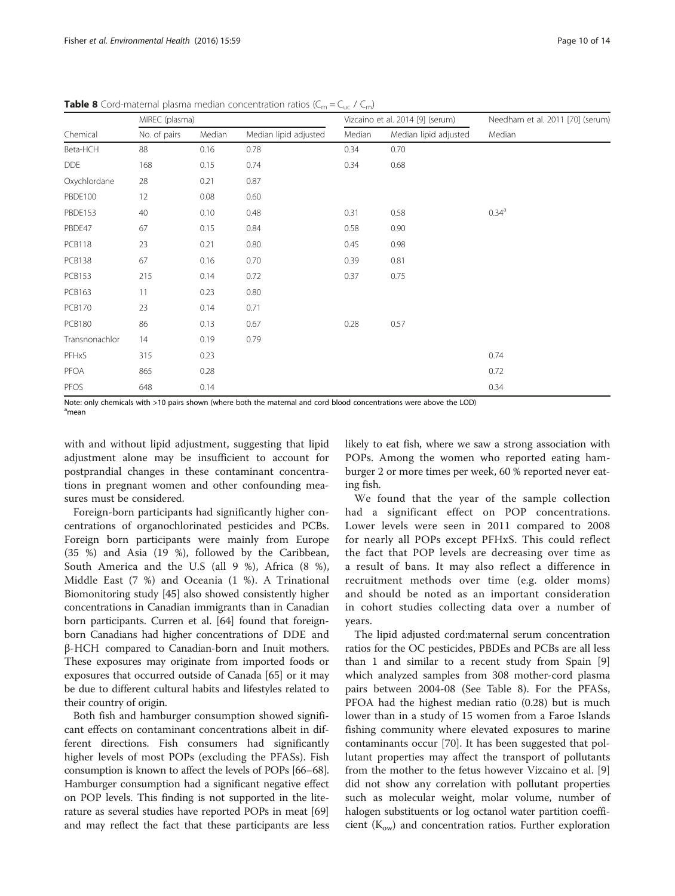|                | MIREC (plasma) |        |                       |        | Vizcaino et al. 2014 [9] (serum) | Needham et al. 2011 [70] (serum) |  |  |
|----------------|----------------|--------|-----------------------|--------|----------------------------------|----------------------------------|--|--|
| Chemical       | No. of pairs   | Median | Median lipid adjusted | Median | Median lipid adjusted            | Median                           |  |  |
| Beta-HCH       | 88             | 0.16   | 0.78                  | 0.34   | 0.70                             |                                  |  |  |
| <b>DDE</b>     | 168            | 0.15   | 0.74                  | 0.34   | 0.68                             |                                  |  |  |
| Oxychlordane   | 28             | 0.21   | 0.87                  |        |                                  |                                  |  |  |
| PBDE100        | 12             | 0.08   | 0.60                  |        |                                  |                                  |  |  |
| PBDE153        | 40             | 0.10   | 0.48                  | 0.31   | 0.58                             | 0.34 <sup>a</sup>                |  |  |
| PBDE47         | 67             | 0.15   | 0.84                  | 0.58   | 0.90                             |                                  |  |  |
| <b>PCB118</b>  | 23             | 0.21   | 0.80                  | 0.45   | 0.98                             |                                  |  |  |
| <b>PCB138</b>  | 67             | 0.16   | 0.70                  | 0.39   | 0.81                             |                                  |  |  |
| <b>PCB153</b>  | 215            | 0.14   | 0.72                  | 0.37   | 0.75                             |                                  |  |  |
| <b>PCB163</b>  | 11             | 0.23   | 0.80                  |        |                                  |                                  |  |  |
| <b>PCB170</b>  | 23             | 0.14   | 0.71                  |        |                                  |                                  |  |  |
| <b>PCB180</b>  | 86             | 0.13   | 0.67                  | 0.28   | 0.57                             |                                  |  |  |
| Transnonachlor | 14             | 0.19   | 0.79                  |        |                                  |                                  |  |  |
| PFHxS          | 315            | 0.23   |                       |        |                                  | 0.74                             |  |  |
| PFOA           | 865            | 0.28   |                       |        |                                  | 0.72                             |  |  |
| <b>PFOS</b>    | 648            | 0.14   |                       |        |                                  | 0.34                             |  |  |

<span id="page-9-0"></span>**Table 8** Cord-maternal plasma median concentration ratios ( $C_m = C_{uc} / C_m$ )

Note: only chemicals with >10 pairs shown (where both the maternal and cord blood concentrations were above the LOD) <sup>a</sup>mean

with and without lipid adjustment, suggesting that lipid adjustment alone may be insufficient to account for postprandial changes in these contaminant concentrations in pregnant women and other confounding measures must be considered.

Foreign-born participants had significantly higher concentrations of organochlorinated pesticides and PCBs. Foreign born participants were mainly from Europe (35 %) and Asia (19 %), followed by the Caribbean, South America and the U.S (all 9 %), Africa (8 %), Middle East (7 %) and Oceania (1 %). A Trinational Biomonitoring study [\[45\]](#page-13-0) also showed consistently higher concentrations in Canadian immigrants than in Canadian born participants. Curren et al. [\[64\]](#page-13-0) found that foreignborn Canadians had higher concentrations of DDE and β-HCH compared to Canadian-born and Inuit mothers. These exposures may originate from imported foods or exposures that occurred outside of Canada [\[65\]](#page-13-0) or it may be due to different cultural habits and lifestyles related to their country of origin.

Both fish and hamburger consumption showed significant effects on contaminant concentrations albeit in different directions. Fish consumers had significantly higher levels of most POPs (excluding the PFASs). Fish consumption is known to affect the levels of POPs [[66](#page-13-0)–[68](#page-13-0)]. Hamburger consumption had a significant negative effect on POP levels. This finding is not supported in the literature as several studies have reported POPs in meat [[69](#page-13-0)] and may reflect the fact that these participants are less

likely to eat fish, where we saw a strong association with POPs. Among the women who reported eating hamburger 2 or more times per week, 60 % reported never eating fish.

We found that the year of the sample collection had a significant effect on POP concentrations. Lower levels were seen in 2011 compared to 2008 for nearly all POPs except PFHxS. This could reflect the fact that POP levels are decreasing over time as a result of bans. It may also reflect a difference in recruitment methods over time (e.g. older moms) and should be noted as an important consideration in cohort studies collecting data over a number of years.

The lipid adjusted cord:maternal serum concentration ratios for the OC pesticides, PBDEs and PCBs are all less than 1 and similar to a recent study from Spain [\[9](#page-12-0)] which analyzed samples from 308 mother-cord plasma pairs between 2004-08 (See Table 8). For the PFASs, PFOA had the highest median ratio (0.28) but is much lower than in a study of 15 women from a Faroe Islands fishing community where elevated exposures to marine contaminants occur [[70\]](#page-13-0). It has been suggested that pollutant properties may affect the transport of pollutants from the mother to the fetus however Vizcaino et al. [\[9](#page-12-0)] did not show any correlation with pollutant properties such as molecular weight, molar volume, number of halogen substituents or log octanol water partition coefficient  $(K<sub>ow</sub>)$  and concentration ratios. Further exploration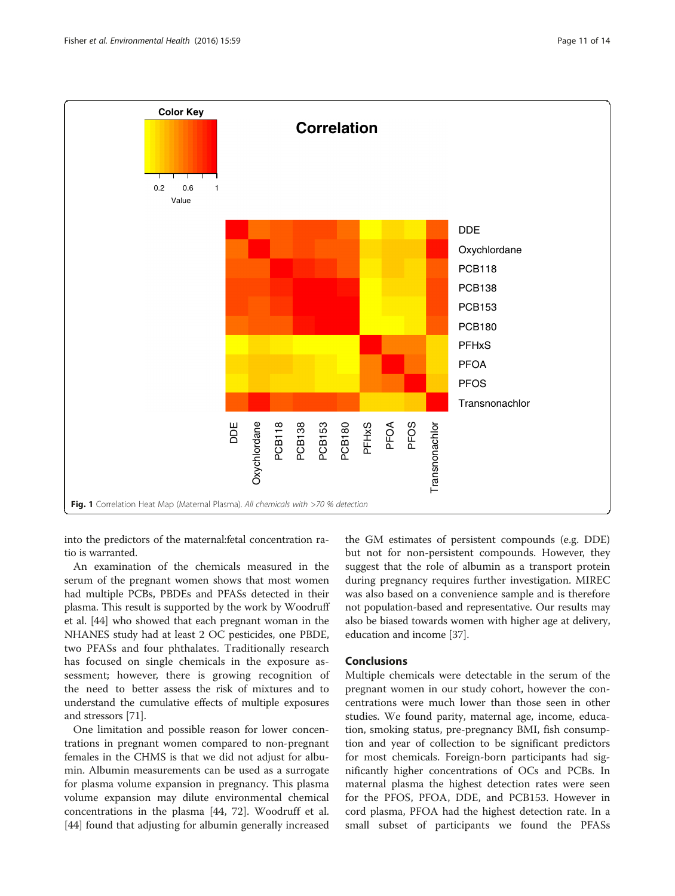<span id="page-10-0"></span>

into the predictors of the maternal:fetal concentration ratio is warranted.

An examination of the chemicals measured in the serum of the pregnant women shows that most women had multiple PCBs, PBDEs and PFASs detected in their plasma. This result is supported by the work by Woodruff et al. [\[44\]](#page-13-0) who showed that each pregnant woman in the NHANES study had at least 2 OC pesticides, one PBDE, two PFASs and four phthalates. Traditionally research has focused on single chemicals in the exposure assessment; however, there is growing recognition of the need to better assess the risk of mixtures and to understand the cumulative effects of multiple exposures and stressors [\[71\]](#page-13-0).

One limitation and possible reason for lower concentrations in pregnant women compared to non-pregnant females in the CHMS is that we did not adjust for albumin. Albumin measurements can be used as a surrogate for plasma volume expansion in pregnancy. This plasma volume expansion may dilute environmental chemical concentrations in the plasma [\[44](#page-13-0), [72\]](#page-13-0). Woodruff et al. [[44\]](#page-13-0) found that adjusting for albumin generally increased

the GM estimates of persistent compounds (e.g. DDE) but not for non-persistent compounds. However, they suggest that the role of albumin as a transport protein during pregnancy requires further investigation. MIREC was also based on a convenience sample and is therefore not population-based and representative. Our results may also be biased towards women with higher age at delivery, education and income [\[37\]](#page-13-0).

## Conclusions

Multiple chemicals were detectable in the serum of the pregnant women in our study cohort, however the concentrations were much lower than those seen in other studies. We found parity, maternal age, income, education, smoking status, pre-pregnancy BMI, fish consumption and year of collection to be significant predictors for most chemicals. Foreign-born participants had significantly higher concentrations of OCs and PCBs. In maternal plasma the highest detection rates were seen for the PFOS, PFOA, DDE, and PCB153. However in cord plasma, PFOA had the highest detection rate. In a small subset of participants we found the PFASs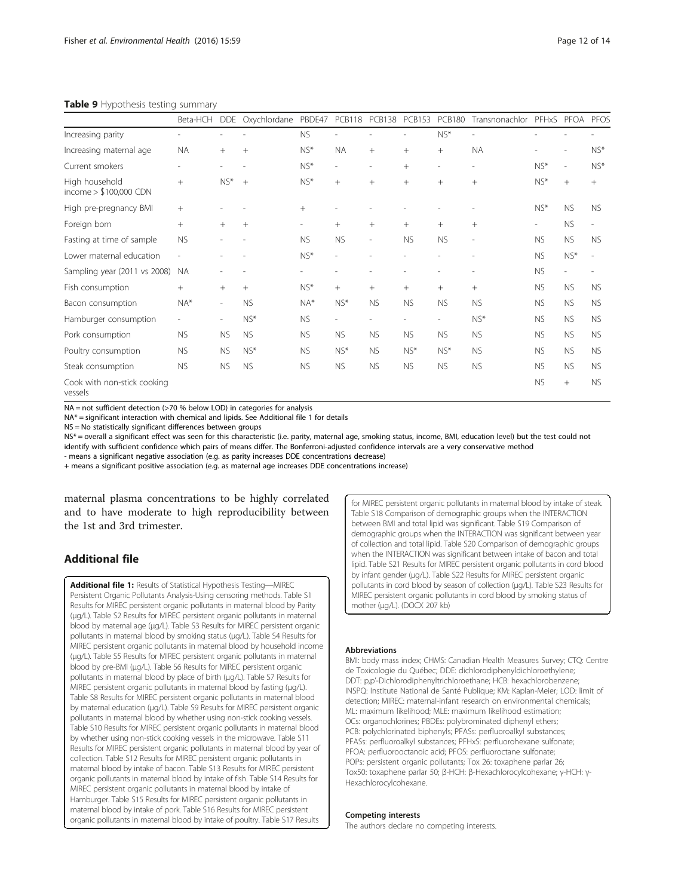### <span id="page-11-0"></span>Table 9 Hypothesis testing summary

|                                           | Beta-HCH  | <b>DDE</b> | Oxychlordane | PBDE47                   | <b>PCB118</b> | <b>PCB138</b>            | <b>PCB153</b> | <b>PCB180</b>  | Transnonachlor | PFHxS                    | PFOA           | PFOS      |
|-------------------------------------------|-----------|------------|--------------|--------------------------|---------------|--------------------------|---------------|----------------|----------------|--------------------------|----------------|-----------|
| Increasing parity                         |           |            |              | <b>NS</b>                |               |                          |               | $NS*$          | ÷              |                          |                |           |
| Increasing maternal age                   | <b>NA</b> | $^{+}$     | $^{+}$       | $NS^*$                   | <b>NA</b>     | $+$                      | $^{+}$        | $^{+}$         | <b>NA</b>      |                          |                | $NS*$     |
| Current smokers                           |           |            |              | $NS^*$                   | i.            | $\overline{\phantom{a}}$ | $+$           | ۰              | $\overline{a}$ | $NS*$                    | $\overline{a}$ | $NS*$     |
| High household<br>income $> $100,000$ CDN | $^{+}$    | $NS*$      | $+$          | $NS*$                    | $+$           | $+$                      | $+$           | $+$            | $+$            | $NS*$                    | $^{+}$         | $+$       |
| High pre-pregnancy BMI                    | $^{+}$    |            |              | $+$                      |               |                          |               |                |                | $NS*$                    | <b>NS</b>      | <b>NS</b> |
| Foreign born                              | $^{+}$    | $+$        | $+$          | $\overline{\phantom{a}}$ | $+$           | $+$                      | $+$           | $^{+}$         | $^{+}$         | $\overline{\phantom{a}}$ | <b>NS</b>      | ٠         |
| Fasting at time of sample                 | <b>NS</b> |            |              | <b>NS</b>                | <b>NS</b>     | $\overline{\phantom{a}}$ | <b>NS</b>     | <b>NS</b>      | ÷              | <b>NS</b>                | <b>NS</b>      | <b>NS</b> |
| Lower maternal education                  |           |            |              | $NS*$                    |               |                          |               |                |                | <b>NS</b>                | $NS*$          |           |
| Sampling year (2011 vs 2008)              | <b>NA</b> |            |              |                          |               |                          |               |                |                | <b>NS</b>                |                |           |
| Fish consumption                          | $+$       | $^{+}$     | $+$          | $NS^*$                   | $+$           | $+$                      | $^{+}$        | $+$            | $+$            | <b>NS</b>                | <b>NS</b>      | <b>NS</b> |
| Bacon consumption                         | $NA*$     | $\sim$     | <b>NS</b>    | $NA*$                    | $NS*$         | <b>NS</b>                | <b>NS</b>     | <b>NS</b>      | <b>NS</b>      | <b>NS</b>                | NS.            | <b>NS</b> |
| Hamburger consumption                     |           | $\sim$     | $NS*$        | <b>NS</b>                | L,            |                          |               | $\overline{a}$ | $NS*$          | NS.                      | <b>NS</b>      | <b>NS</b> |
| Pork consumption                          | <b>NS</b> | <b>NS</b>  | <b>NS</b>    | <b>NS</b>                | <b>NS</b>     | <b>NS</b>                | <b>NS</b>     | <b>NS</b>      | <b>NS</b>      | <b>NS</b>                | NS.            | <b>NS</b> |
| Poultry consumption                       | <b>NS</b> | <b>NS</b>  | $NS*$        | <b>NS</b>                | $NS*$         | <b>NS</b>                | $NS*$         | $NS*$          | <b>NS</b>      | NS.                      | <b>NS</b>      | <b>NS</b> |
| Steak consumption                         | <b>NS</b> | <b>NS</b>  | <b>NS</b>    | <b>NS</b>                | <b>NS</b>     | <b>NS</b>                | <b>NS</b>     | <b>NS</b>      | <b>NS</b>      | <b>NS</b>                | <b>NS</b>      | <b>NS</b> |
| Cook with non-stick cooking<br>vessels    |           |            |              |                          |               |                          |               |                |                | <b>NS</b>                | $^{+}$         | <b>NS</b> |

NA = not sufficient detection (>70 % below LOD) in categories for analysis

NA\* = significant interaction with chemical and lipids. See Additional file 1 for details

NS = No statistically significant differences between groups

NS\* = overall a significant effect was seen for this characteristic (i.e. parity, maternal age, smoking status, income, BMI, education level) but the test could not identify with sufficient confidence which pairs of means differ. The Bonferroni-adjusted confidence intervals are a very conservative method

- means a significant negative association (e.g. as parity increases DDE concentrations decrease)

+ means a significant positive association (e.g. as maternal age increases DDE concentrations increase)

maternal plasma concentrations to be highly correlated and to have moderate to high reproducibility between the 1st and 3rd trimester.

## Additional file

[Additional file 1:](dx.doi.org/10.1186/s12940-016-0143-y) Results of Statistical Hypothesis Testing-MIREC Persistent Organic Pollutants Analysis-Using censoring methods. Table S1 Results for MIREC persistent organic pollutants in maternal blood by Parity (μg/L). Table S2 Results for MIREC persistent organic pollutants in maternal blood by maternal age (μg/L). Table S3 Results for MIREC persistent organic pollutants in maternal blood by smoking status (μg/L). Table S4 Results for MIREC persistent organic pollutants in maternal blood by household income (μg/L). Table S5 Results for MIREC persistent organic pollutants in maternal blood by pre-BMI (μg/L). Table S6 Results for MIREC persistent organic pollutants in maternal blood by place of birth (μg/L). Table S7 Results for MIREC persistent organic pollutants in maternal blood by fasting (μg/L). Table S8 Results for MIREC persistent organic pollutants in maternal blood by maternal education (μg/L). Table S9 Results for MIREC persistent organic pollutants in maternal blood by whether using non-stick cooking vessels. Table S10 Results for MIREC persistent organic pollutants in maternal blood by whether using non-stick cooking vessels in the microwave. Table S11 Results for MIREC persistent organic pollutants in maternal blood by year of collection. Table S12 Results for MIREC persistent organic pollutants in maternal blood by intake of bacon. Table S13 Results for MIREC persistent organic pollutants in maternal blood by intake of fish. Table S14 Results for MIREC persistent organic pollutants in maternal blood by intake of Hamburger. Table S15 Results for MIREC persistent organic pollutants in maternal blood by intake of pork. Table S16 Results for MIREC persistent organic pollutants in maternal blood by intake of poultry. Table S17 Results

for MIREC persistent organic pollutants in maternal blood by intake of steak. Table S18 Comparison of demographic groups when the INTERACTION between BMI and total lipid was significant. Table S19 Comparison of demographic groups when the INTERACTION was significant between year of collection and total lipid. Table S20 Comparison of demographic groups when the INTERACTION was significant between intake of bacon and total lipid. Table S21 Results for MIREC persistent organic pollutants in cord blood by infant gender (μg/L). Table S22 Results for MIREC persistent organic pollutants in cord blood by season of collection (μg/L). Table S23 Results for MIREC persistent organic pollutants in cord blood by smoking status of mother (µg/L). (DOCX 207 kb)

#### Abbreviations

BMI: body mass index; CHMS: Canadian Health Measures Survey; CTQ: Centre de Toxicologie du Québec; DDE: dichlorodiphenyldichloroethylene; DDT: p,p'-Dichlorodiphenyltrichloroethane; HCB: hexachlorobenzene; INSPQ: Institute National de Santé Publique; KM: Kaplan-Meier; LOD: limit of detection; MIREC: maternal-infant research on environmental chemicals; ML: maximum likelihood; MLE: maximum likelihood estimation; OCs: organochlorines; PBDEs: polybrominated diphenyl ethers; PCB: polychlorinated biphenyls; PFASs: perfluoroalkyl substances; PFASs: perfluoroalkyl substances; PFHxS: perfluorohexane sulfonate; PFOA: perfluorooctanoic acid; PFOS: perfluoroctane sulfonate; POPs: persistent organic pollutants; Tox 26: toxaphene parlar 26; Tox50: toxaphene parlar 50; β-HCH: β-Hexachlorocylcohexane; γ-HCH: γ-Hexachlorocylcohexane.

### Competing interests

The authors declare no competing interests.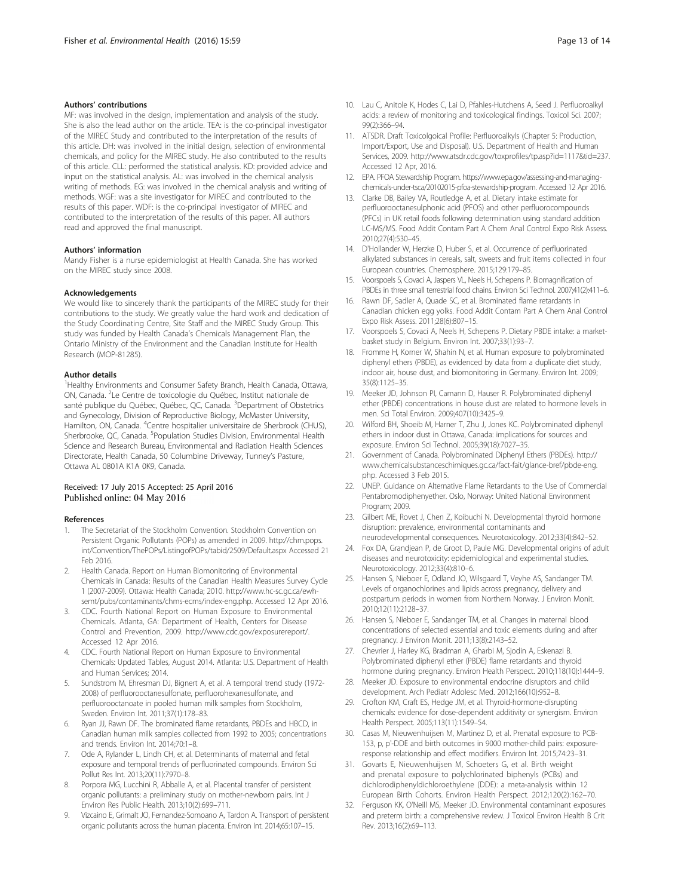## <span id="page-12-0"></span>Authors' contributions

MF: was involved in the design, implementation and analysis of the study. She is also the lead author on the article. TEA: is the co-principal investigator of the MIREC Study and contributed to the interpretation of the results of this article. DH: was involved in the initial design, selection of environmental chemicals, and policy for the MIREC study. He also contributed to the results of this article. CLL: performed the statistical analysis. KD: provided advice and input on the statistical analysis. AL: was involved in the chemical analysis writing of methods. EG: was involved in the chemical analysis and writing of methods. WGF: was a site investigator for MIREC and contributed to the results of this paper. WDF: is the co-principal investigator of MIREC and contributed to the interpretation of the results of this paper. All authors read and approved the final manuscript.

#### Authors' information

Mandy Fisher is a nurse epidemiologist at Health Canada. She has worked on the MIREC study since 2008.

## Acknowledgements

We would like to sincerely thank the participants of the MIREC study for their contributions to the study. We greatly value the hard work and dedication of the Study Coordinating Centre, Site Staff and the MIREC Study Group. This study was funded by Health Canada's Chemicals Management Plan, the Ontario Ministry of the Environment and the Canadian Institute for Health Research (MOP-81285).

#### Author details

<sup>1</sup> Healthy Environments and Consumer Safety Branch, Health Canada, Ottawa, ON, Canada. <sup>2</sup>Le Centre de toxicologie du Québec, Institut nationale de santé publique du Québec, Québec, QC, Canada. <sup>3</sup>Department of Obstetrics and Gynecology, Division of Reproductive Biology, McMaster University, Hamilton, ON, Canada. <sup>4</sup>Centre hospitalier universitaire de Sherbrook (CHUS), Sherbrooke, QC, Canada. <sup>5</sup>Population Studies Division, Environmental Health Science and Research Bureau, Environmental and Radiation Health Sciences Directorate, Health Canada, 50 Columbine Driveway, Tunney's Pasture, Ottawa AL 0801A K1A 0K9, Canada.

## Received: 17 July 2015 Accepted: 25 April 2016 Published online: 04 May 2016

#### References

- 1. The Secretariat of the Stockholm Convention. Stockholm Convention on Persistent Organic Pollutants (POPs) as amended in 2009. [http://chm.pops.](http://chm.pops.int/Convention/ThePOPs/ListingofPOPs/tabid/2509/Default.aspx) [int/Convention/ThePOPs/ListingofPOPs/tabid/2509/Default.aspx](http://chm.pops.int/Convention/ThePOPs/ListingofPOPs/tabid/2509/Default.aspx) Accessed 21 Feb 2016.
- 2. Health Canada. Report on Human Biomonitoring of Environmental Chemicals in Canada: Results of the Canadian Health Measures Survey Cycle 1 (2007-2009). Ottawa: Health Canada; 2010. [http://www.hc-sc.gc.ca/ewh](http://www.hc-sc.gc.ca/ewh-semt/pubs/contaminants/chms-ecms/index-eng.php)[semt/pubs/contaminants/chms-ecms/index-eng.php.](http://www.hc-sc.gc.ca/ewh-semt/pubs/contaminants/chms-ecms/index-eng.php) Accessed 12 Apr 2016.
- 3. CDC. Fourth National Report on Human Exposure to Environmental Chemicals. Atlanta, GA: Department of Health, Centers for Disease Control and Prevention, 2009. [http://www.cdc.gov/exposurereport/.](http://www.cdc.gov/exposurereport/) Accessed 12 Apr 2016.
- 4. CDC. Fourth National Report on Human Exposure to Environmental Chemicals: Updated Tables, August 2014. Atlanta: U.S. Department of Health and Human Services; 2014.
- 5. Sundstrom M, Ehresman DJ, Bignert A, et al. A temporal trend study (1972- 2008) of perfluorooctanesulfonate, perfluorohexanesulfonate, and perfluorooctanoate in pooled human milk samples from Stockholm, Sweden. Environ Int. 2011;37(1):178–83.
- 6. Ryan JJ, Rawn DF. The brominated flame retardants, PBDEs and HBCD, in Canadian human milk samples collected from 1992 to 2005; concentrations and trends. Environ Int. 2014;70:1–8.
- 7. Ode A, Rylander L, Lindh CH, et al. Determinants of maternal and fetal exposure and temporal trends of perfluorinated compounds. Environ Sci Pollut Res Int. 2013;20(11):7970–8.
- Porpora MG, Lucchini R, Abballe A, et al. Placental transfer of persistent organic pollutants: a preliminary study on mother-newborn pairs. Int J Environ Res Public Health. 2013;10(2):699–711.
- Vizcaino E, Grimalt JO, Fernandez-Somoano A, Tardon A. Transport of persistent organic pollutants across the human placenta. Environ Int. 2014;65:107–15.
- 10. Lau C, Anitole K, Hodes C, Lai D, Pfahles-Hutchens A, Seed J. Perfluoroalkyl acids: a review of monitoring and toxicological findings. Toxicol Sci. 2007; 99(2):366–94.
- 11. ATSDR. Draft Toxicolgoical Profile: Perfluoroalkyls (Chapter 5: Production, Import/Export, Use and Disposal). U.S. Department of Health and Human Services, 2009.<http://www.atsdr.cdc.gov/toxprofiles/tp.asp?id=1117&tid=237>. Accessed 12 Apr, 2016.
- 12. EPA. PFOA Stewardship Program. [https://www.epa.gov/assessing-and-managing](https://www.epa.gov/assessing-and-managing-chemicals-under-tsca/20102015-pfoa-stewardship-program)[chemicals-under-tsca/20102015-pfoa-stewardship-program.](https://www.epa.gov/assessing-and-managing-chemicals-under-tsca/20102015-pfoa-stewardship-program) Accessed 12 Apr 2016.
- 13. Clarke DB, Bailey VA, Routledge A, et al. Dietary intake estimate for perfluorooctanesulphonic acid (PFOS) and other perfluorocompounds (PFCs) in UK retail foods following determination using standard addition LC-MS/MS. Food Addit Contam Part A Chem Anal Control Expo Risk Assess. 2010;27(4):530–45.
- 14. D'Hollander W, Herzke D, Huber S, et al. Occurrence of perfluorinated alkylated substances in cereals, salt, sweets and fruit items collected in four European countries. Chemosphere. 2015;129:179–85.
- 15. Voorspoels S, Covaci A, Jaspers VL, Neels H, Schepens P. Biomagnification of PBDEs in three small terrestrial food chains. Environ Sci Technol. 2007;41(2):411-6.
- 16. Rawn DF, Sadler A, Quade SC, et al. Brominated flame retardants in Canadian chicken egg yolks. Food Addit Contam Part A Chem Anal Control Expo Risk Assess. 2011;28(6):807–15.
- 17. Voorspoels S, Covaci A, Neels H, Schepens P. Dietary PBDE intake: a marketbasket study in Belgium. Environ Int. 2007;33(1):93–7.
- 18. Fromme H, Korner W, Shahin N, et al. Human exposure to polybrominated diphenyl ethers (PBDE), as evidenced by data from a duplicate diet study, indoor air, house dust, and biomonitoring in Germany. Environ Int. 2009; 35(8):1125–35.
- 19. Meeker JD, Johnson PI, Camann D, Hauser R. Polybrominated diphenyl ether (PBDE) concentrations in house dust are related to hormone levels in men. Sci Total Environ. 2009;407(10):3425–9.
- 20. Wilford BH, Shoeib M, Harner T, Zhu J, Jones KC. Polybrominated diphenyl ethers in indoor dust in Ottawa, Canada: implications for sources and exposure. Environ Sci Technol. 2005;39(18):7027–35.
- 21. Government of Canada. Polybrominated Diphenyl Ethers (PBDEs). [http://](http://www.chemicalsubstanceschimiques.gc.ca/fact-fait/glance-bref/pbde-eng.php) [www.chemicalsubstanceschimiques.gc.ca/fact-fait/glance-bref/pbde-eng.](http://www.chemicalsubstanceschimiques.gc.ca/fact-fait/glance-bref/pbde-eng.php) [php](http://www.chemicalsubstanceschimiques.gc.ca/fact-fait/glance-bref/pbde-eng.php). Accessed 3 Feb 2015.
- 22. UNEP. Guidance on Alternative Flame Retardants to the Use of Commercial Pentabromodiphenyether. Oslo, Norway: United National Environment Program; 2009.
- 23. Gilbert ME, Rovet J, Chen Z, Koibuchi N. Developmental thyroid hormone disruption: prevalence, environmental contaminants and neurodevelopmental consequences. Neurotoxicology. 2012;33(4):842–52.
- 24. Fox DA, Grandjean P, de Groot D, Paule MG. Developmental origins of adult diseases and neurotoxicity: epidemiological and experimental studies. Neurotoxicology. 2012;33(4):810–6.
- 25. Hansen S, Nieboer E, Odland JO, Wilsgaard T, Veyhe AS, Sandanger TM. Levels of organochlorines and lipids across pregnancy, delivery and postpartum periods in women from Northern Norway. J Environ Monit. 2010;12(11):2128–37.
- 26. Hansen S, Nieboer E, Sandanger TM, et al. Changes in maternal blood concentrations of selected essential and toxic elements during and after pregnancy. J Environ Monit. 2011;13(8):2143–52.
- 27. Chevrier J, Harley KG, Bradman A, Gharbi M, Sjodin A, Eskenazi B. Polybrominated diphenyl ether (PBDE) flame retardants and thyroid hormone during pregnancy. Environ Health Perspect. 2010;118(10):1444–9.
- 28. Meeker JD. Exposure to environmental endocrine disruptors and child development. Arch Pediatr Adolesc Med. 2012;166(10):952–8.
- 29. Crofton KM, Craft ES, Hedge JM, et al. Thyroid-hormone-disrupting chemicals: evidence for dose-dependent additivity or synergism. Environ Health Perspect. 2005;113(11):1549–54.
- 30. Casas M, Nieuwenhuijsen M, Martinez D, et al. Prenatal exposure to PCB-153, p, p'-DDE and birth outcomes in 9000 mother-child pairs: exposureresponse relationship and effect modifiers. Environ Int. 2015;74:23–31.
- 31. Govarts E, Nieuwenhuijsen M, Schoeters G, et al. Birth weight and prenatal exposure to polychlorinated biphenyls (PCBs) and dichlorodiphenyldichloroethylene (DDE): a meta-analysis within 12 European Birth Cohorts. Environ Health Perspect. 2012;120(2):162–70.
- 32. Ferguson KK, O'Neill MS, Meeker JD. Environmental contaminant exposures and preterm birth: a comprehensive review. J Toxicol Environ Health B Crit Rev. 2013;16(2):69–113.